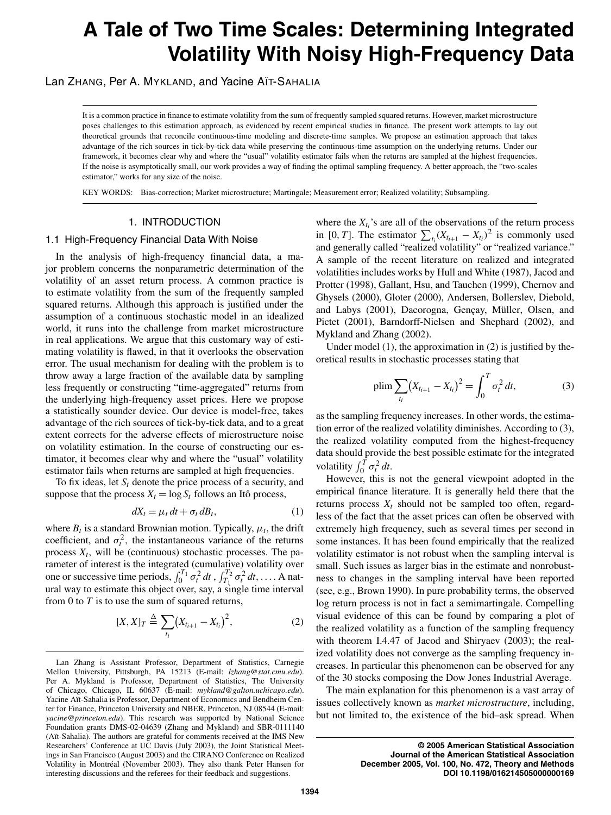# A Tale of Two Time Scales: Determining Integrated **Volatility With Noisy High-Frequency Data**

Lan ZHANG, Per A. MYKLAND, and Yacine AIT-SAHALIA

It is a common practice in finance to estimate volatility from the sum of frequently sampled squared returns. However, market microstructure poses challenges to this estimation approach, as evidenced by recent empirical studies in finance. The present work attempts to lay out theoretical grounds that reconcile continuous-time modeling and discrete-time samples. We propose an estimation approach that takes advantage of the rich sources in tick-by-tick data while preserving the continuous-time assumption on the underlying returns. Under our framework, it becomes clear why and where the "usual" volatility estimator fails when the returns are sampled at the highest frequencies. If the noise is asymptotically small, our work provides a way of finding the optimal sampling frequency. A better approach, the "two-scales estimator," works for any size of the noise.

KEY WORDS: Bias-correction; Market microstructure; Martingale; Measurement error; Realized volatility; Subsampling.

# 1. INTRODUCTION

# 1.1 High-Frequency Financial Data With Noise

In the analysis of high-frequency financial data, a major problem concerns the nonparametric determination of the volatility of an asset return process. A common practice is to estimate volatility from the sum of the frequently sampled squared returns. Although this approach is justified under the assumption of a continuous stochastic model in an idealized world, it runs into the challenge from market microstructure in real applications. We argue that this customary way of estimating volatility is flawed, in that it overlooks the observation error. The usual mechanism for dealing with the problem is to throw away a large fraction of the available data by sampling less frequently or constructing "time-aggregated" returns from the underlying high-frequency asset prices. Here we propose a statistically sounder device. Our device is model-free, takes advantage of the rich sources of tick-by-tick data, and to a great extent corrects for the adverse effects of microstructure noise on volatility estimation. In the course of constructing our estimator, it becomes clear why and where the "usual" volatility estimator fails when returns are sampled at high frequencies.

To fix ideas, let  $S_t$  denote the price process of a security, and suppose that the process  $X_t = \log S_t$  follows an Itô process,

$$
dX_t = \mu_t dt + \sigma_t dB_t, \qquad (1)
$$

where  $B_t$  is a standard Brownian motion. Typically,  $\mu_t$ , the drift coefficient, and  $\sigma_t^2$ , the instantaneous variance of the returns process  $X_t$ , will be (continuous) stochastic processes. The parameter of interest is the integrated (cumulative) volatility over one or successive time periods,  $\int_0^{T_1} \sigma_t^2 dt$ ,  $\int_{T_1}^{T_2} \sigma_t^2 dt$ , .... A natural way to estimate this object over, say, a single time interval from 0 to  $T$  is to use the sum of squared returns,

$$
[X, X]_T \triangleq \sum_{t_i} (X_{t_{i+1}} - X_{t_i})^2, \tag{2}
$$

where the  $X_{t_i}$ 's are all of the observations of the return process in [0, T]. The estimator  $\sum_{t_i} (X_{t_{i+1}} - X_{t_i})^2$  is commonly used and generally called "realized volatility" or "realized variance." A sample of the recent literature on realized and integrated volatilities includes works by Hull and White (1987), Jacod and Protter (1998), Gallant, Hsu, and Tauchen (1999), Chernov and Ghysels (2000), Gloter (2000), Andersen, Bollerslev, Diebold, and Labys (2001), Dacorogna, Gençay, Müller, Olsen, and Pictet (2001), Barndorff-Nielsen and Shephard (2002), and Mykland and Zhang (2002).

Under model  $(1)$ , the approximation in  $(2)$  is justified by theoretical results in stochastic processes stating that

$$
\text{plim}\sum_{t_i} (X_{t_{i+1}} - X_{t_i})^2 = \int_0^1 \sigma_t^2 \, dt,\tag{3}
$$

as the sampling frequency increases. In other words, the estimation error of the realized volatility diminishes. According to (3), the realized volatility computed from the highest-frequency data should provide the best possible estimate for the integrated volatility  $\int_0^T \sigma_t^2 dt$ .

However, this is not the general viewpoint adopted in the empirical finance literature. It is generally held there that the returns process  $X_t$  should not be sampled too often, regardless of the fact that the asset prices can often be observed with extremely high frequency, such as several times per second in some instances. It has been found empirically that the realized volatility estimator is not robust when the sampling interval is small. Such issues as larger bias in the estimate and nonrobustness to changes in the sampling interval have been reported (see, e.g., Brown 1990). In pure probability terms, the observed log return process is not in fact a semimartingale. Compelling visual evidence of this can be found by comparing a plot of the realized volatility as a function of the sampling frequency with theorem I.4.47 of Jacod and Shiryaev (2003); the realized volatility does not converge as the sampling frequency increases. In particular this phenomenon can be observed for any of the 30 stocks composing the Dow Jones Industrial Average.

The main explanation for this phenomenon is a vast array of issues collectively known as *market microstructure*, including, but not limited to, the existence of the bid-ask spread. When

> © 2005 American Statistical Association Journal of the American Statistical Association December 2005, Vol. 100, No. 472, Theory and Methods DOI 10.1198/016214505000000169

Lan Zhang is Assistant Professor, Department of Statistics, Carnegie Mellon University, Pittsburgh, PA 15213 (E-mail: lzhang@stat.cmu.edu). Per A. Mykland is Professor, Department of Statistics, The University of Chicago, Chicago, IL 60637 (E-mail: mykland@galton.uchicago.edu). Yacine Aït-Sahalia is Professor, Department of Economics and Bendheim Center for Finance, Princeton University and NBER, Princeton, NJ 08544 (E-mail: yacine@princeton.edu). This research was supported by National Science Foundation grants DMS-02-04639 (Zhang and Mykland) and SBR-0111140 (Aït-Sahalia). The authors are grateful for comments received at the IMS New Researchers' Conference at UC Davis (July 2003), the Joint Statistical Meetings in San Francisco (August 2003) and the CIRANO Conference on Realized Volatility in Montréal (November 2003). They also thank Peter Hansen for interesting discussions and the referees for their feedback and suggestions.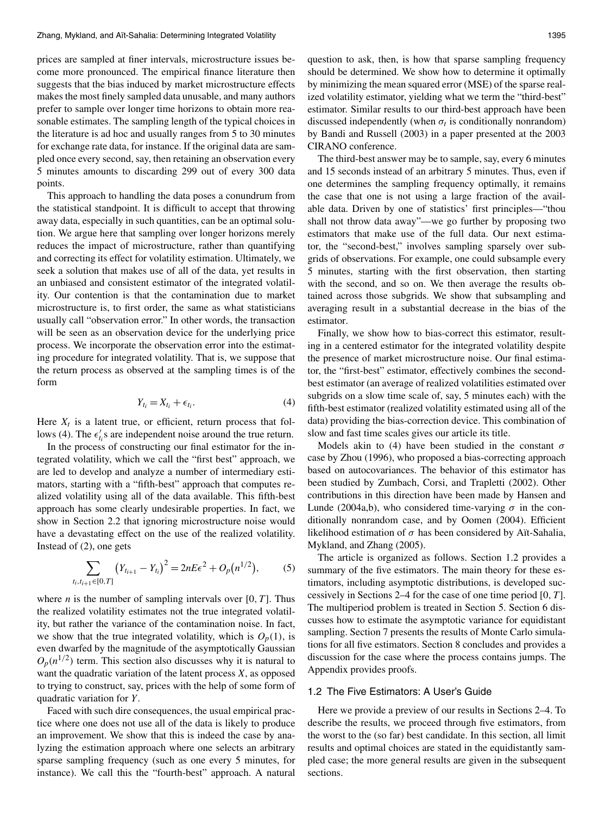prices are sampled at finer intervals, microstructure issues become more pronounced. The empirical finance literature then suggests that the bias induced by market microstructure effects makes the most finely sampled data unusable, and many authors prefer to sample over longer time horizons to obtain more reasonable estimates. The sampling length of the typical choices in the literature is ad hoc and usually ranges from 5 to 30 minutes for exchange rate data, for instance. If the original data are sampled once every second, say, then retaining an observation every 5 minutes amounts to discarding 299 out of every 300 data points.

This approach to handling the data poses a conundrum from the statistical standpoint. It is difficult to accept that throwing away data, especially in such quantities, can be an optimal solution. We argue here that sampling over longer horizons merely reduces the impact of microstructure, rather than quantifying and correcting its effect for volatility estimation. Ultimately, we seek a solution that makes use of all of the data, yet results in an unbiased and consistent estimator of the integrated volatility. Our contention is that the contamination due to market microstructure is, to first order, the same as what statisticians usually call "observation error." In other words, the transaction will be seen as an observation device for the underlying price process. We incorporate the observation error into the estimating procedure for integrated volatility. That is, we suppose that the return process as observed at the sampling times is of the form

$$
Y_{t_i} = X_{t_i} + \epsilon_{t_i}.\tag{4}
$$

Here  $X_t$  is a latent true, or efficient, return process that follows (4). The  $\epsilon'_t$  s are independent noise around the true return.

In the process of constructing our final estimator for the integrated volatility, which we call the "first best" approach, we are led to develop and analyze a number of intermediary estimators, starting with a "fifth-best" approach that computes realized volatility using all of the data available. This fifth-best approach has some clearly undesirable properties. In fact, we show in Section 2.2 that ignoring microstructure noise would have a devastating effect on the use of the realized volatility. Instead of  $(2)$ , one gets

$$
\sum_{t_i, t_{i+1} \in [0, T]} \left( Y_{t_{i+1}} - Y_{t_i} \right)^2 = 2nE\epsilon^2 + O_p(n^{1/2}), \tag{5}
$$

where *n* is the number of sampling intervals over [0,  $T$ ]. Thus the realized volatility estimates not the true integrated volatility, but rather the variance of the contamination noise. In fact, we show that the true integrated volatility, which is  $O_p(1)$ , is even dwarfed by the magnitude of the asymptotically Gaussian  $O_n(n^{1/2})$  term. This section also discusses why it is natural to want the quadratic variation of the latent process  $X$ , as opposed to trying to construct, say, prices with the help of some form of quadratic variation for Y.

Faced with such dire consequences, the usual empirical practice where one does not use all of the data is likely to produce an improvement. We show that this is indeed the case by analyzing the estimation approach where one selects an arbitrary sparse sampling frequency (such as one every 5 minutes, for instance). We call this the "fourth-best" approach. A natural

question to ask, then, is how that sparse sampling frequency should be determined. We show how to determine it optimally by minimizing the mean squared error (MSE) of the sparse realized volatility estimator, yielding what we term the "third-best" estimator. Similar results to our third-best approach have been discussed independently (when  $\sigma_t$  is conditionally nonrandom) by Bandi and Russell (2003) in a paper presented at the 2003 CIRANO conference.

The third-best answer may be to sample, say, every 6 minutes and 15 seconds instead of an arbitrary 5 minutes. Thus, even if one determines the sampling frequency optimally, it remains the case that one is not using a large fraction of the available data. Driven by one of statistics' first principles—"thou shall not throw data away"—we go further by proposing two estimators that make use of the full data. Our next estimator, the "second-best," involves sampling sparsely over subgrids of observations. For example, one could subsample every 5 minutes, starting with the first observation, then starting with the second, and so on. We then average the results obtained across those subgrids. We show that subsampling and averaging result in a substantial decrease in the bias of the estimator.

Finally, we show how to bias-correct this estimator, resulting in a centered estimator for the integrated volatility despite the presence of market microstructure noise. Our final estimator, the "first-best" estimator, effectively combines the secondbest estimator (an average of realized volatilities estimated over subgrids on a slow time scale of, say, 5 minutes each) with the fifth-best estimator (realized volatility estimated using all of the data) providing the bias-correction device. This combination of slow and fast time scales gives our article its title.

Models akin to (4) have been studied in the constant  $\sigma$ case by Zhou (1996), who proposed a bias-correcting approach based on autocovariances. The behavior of this estimator has been studied by Zumbach, Corsi, and Trapletti (2002). Other contributions in this direction have been made by Hansen and Lunde (2004a,b), who considered time-varying  $\sigma$  in the conditionally nonrandom case, and by Oomen (2004). Efficient likelihood estimation of  $\sigma$  has been considered by Aït-Sahalia, Mykland, and Zhang (2005).

The article is organized as follows. Section 1.2 provides a summary of the five estimators. The main theory for these estimators, including asymptotic distributions, is developed successively in Sections 2–4 for the case of one time period  $[0, T]$ . The multiperiod problem is treated in Section 5. Section 6 discusses how to estimate the asymptotic variance for equidistant sampling. Section 7 presents the results of Monte Carlo simulations for all five estimators. Section 8 concludes and provides a discussion for the case where the process contains jumps. The Appendix provides proofs.

#### 1.2 The Five Estimators: A User's Guide

Here we provide a preview of our results in Sections 2–4. To describe the results, we proceed through five estimators, from the worst to the (so far) best candidate. In this section, all limit results and optimal choices are stated in the equidistantly sampled case; the more general results are given in the subsequent sections.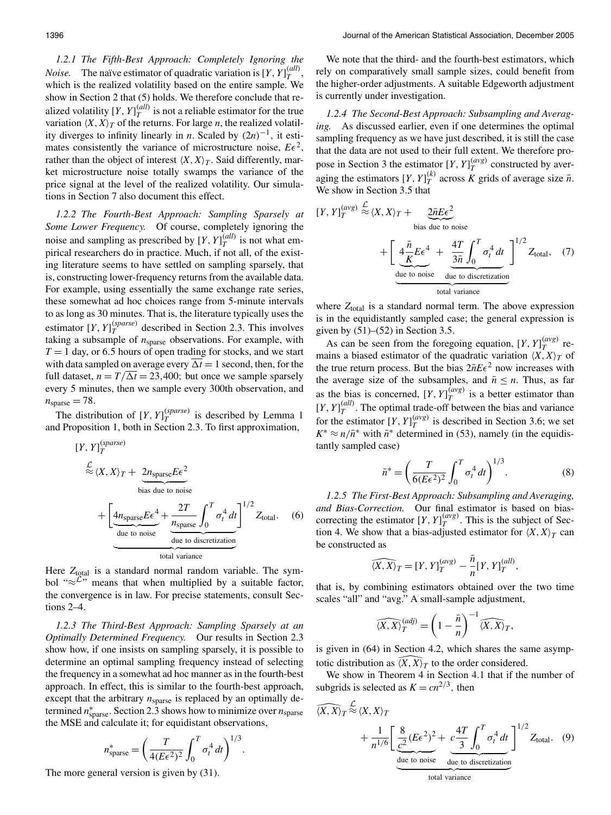1.2.1 The Fifth-Best Approach: Completely Ignoring the *Noise*. The naïve estimator of quadratic variation is  $[Y, Y]_T^{(all)}$ which is the realized volatility based on the entire sample. We show in Section 2 that (5) holds. We therefore conclude that realized volatility  $[Y, Y]_T^{(all)}$  is not a reliable estimator for the true variation  $\langle X, X \rangle_T$  of the returns. For large *n*, the realized volatility diverges to infinity linearly in *n*. Scaled by  $(2n)^{-1}$ , it estimates consistently the variance of microstructure noise,  $E\epsilon^2$ , rather than the object of interest  $\langle X, X \rangle_T$ . Said differently, market microstructure noise totally swamps the variance of the price signal at the level of the realized volatility. Our simulations in Section 7 also document this effect.

1.2.2 The Fourth-Best Approach: Sampling Sparsely at Some Lower Frequency. Of course, completely ignoring the noise and sampling as prescribed by [Y,  $Y_T^{(all)}$  is not what empirical researchers do in practice. Much, if not all, of the existing literature seems to have settled on sampling sparsely, that is, constructing lower-frequency returns from the available data. For example, using essentially the same exchange rate series, these somewhat ad hoc choices range from 5-minute intervals to as long as 30 minutes. That is, the literature typically uses the estimator  $[Y, Y]_T^{(sparse)}$  described in Section 2.3. This involves taking a subsample of  $n_{\text{sparse}}$  observations. For example, with  $T = 1$  day, or 6.5 hours of open trading for stocks, and we start with data sampled on average every  $\overline{\Delta t} = 1$  second, then, for the full dataset,  $n = T/\Delta t = 23,400$ ; but once we sample sparsely every 5 minutes, then we sample every 300th observation, and  $n_{\text{sparse}} = 78.$ 

The distribution of  $[Y, Y]_{T}^{(sparse)}$  is described by Lemma 1 and Proposition 1, both in Section 2.3. To first approximation,

 $(\text{space})$ 

$$
Y, Y|_{T}^{S, \text{max}} = \frac{\mathcal{L}}{\mathcal{L}} \langle X, X \rangle_{T} + \underbrace{2n_{\text{sparse}} E \epsilon^{2}}_{\text{bias due to noise}} + \underbrace{\left[4n_{\text{sparse}} E \epsilon^{4}}_{\text{due to noise}} + \underbrace{\frac{2T}{n_{\text{sparse}}} \int_{0}^{T} \sigma_{t}^{4} dt}_{\text{due to discretization}}\right]^{1/2} Z_{\text{total}}. \tag{6}
$$

Here  $Z_{total}$  is a standard normal random variable. The symbol " $\approx$  " means that when multiplied by a suitable factor, the convergence is in law. For precise statements, consult Sections  $2-4$ .

1.2.3 The Third-Best Approach: Sampling Sparsely at an *Optimally Determined Frequency.* Our results in Section 2.3 show how, if one insists on sampling sparsely, it is possible to determine an optimal sampling frequency instead of selecting the frequency in a somewhat ad hoc manner as in the fourth-best approach. In effect, this is similar to the fourth-best approach, except that the arbitrary  $n_{\text{sparse}}$  is replaced by an optimally determined  $n_{\text{sparse}}^*$ . Section 2.3 shows how to minimize over  $n_{\text{sparse}}$ the MSE and calculate it; for equidistant observations,

$$
n_{\text{sparse}}^* = \left(\frac{T}{4(E\epsilon^2)^2} \int_0^T \sigma_t^4 dt\right)^{1/3}
$$

The more general version is given by  $(31)$ .

We note that the third- and the fourth-best estimators, which rely on comparatively small sample sizes, could benefit from the higher-order adjustments. A suitable Edgeworth adjustment is currently under investigation.

1.2.4 The Second-Best Approach: Subsampling and Averaging. As discussed earlier, even if one determines the optimal sampling frequency as we have just described, it is still the case that the data are not used to their full extent. We therefore propose in Section 3 the estimator  $[Y, Y]_T^{(avg)}$  constructed by averaging the estimators  $[Y, Y]_T^{(k)}$  across K grids of average size  $\bar{n}$ . We show in Section 3.5 that

$$
[Y, Y]_T^{(avg)} \stackrel{\mathcal{L}}{\approx} \langle X, X \rangle_T + \underbrace{2\bar{n}E\epsilon^2}_{\text{bias due to noise}} + \left[ \underbrace{4\frac{\bar{n}}{K}E\epsilon^4}_{\text{due to noise}} + \underbrace{4T}{\frac{3\bar{n}}{K}} \int_0^T \sigma_t^4 dt \right]^{1/2} Z_{\text{total}}, \quad (7)
$$
\n
$$
\underbrace{\text{due to noise}}_{\text{total variance}}
$$

where  $Z_{total}$  is a standard normal term. The above expression is in the equidistantly sampled case; the general expression is given by  $(51)$ – $(52)$  in Section 3.5.

As can be seen from the foregoing equation,  $[Y, Y]_{T}^{(avg)}$  remains a biased estimator of the quadratic variation  $\langle X, X \rangle_T$  of the true return process. But the bias  $2nE\epsilon^2$  now increases with the average size of the subsamples, and  $\bar{n} \leq n$ . Thus, as far as the bias is concerned, [Y,  $Y\int_{T}^{\overline{(avg)}}$  is a better estimator than  $[Y, Y]_T^{(all)}$ . The optimal trade-off between the bias and variance for the estimator  $[Y, Y]_{T}^{(avg)}$  is described in Section 3.6; we set  $K^* \approx n/\bar{n}^*$  with  $\bar{n}^*$  determined in (53), namely (in the equidistantly sampled case)

$$
\bar{n}^* = \left(\frac{T}{6(E\epsilon^2)^2} \int_0^T \sigma_t^4 dt\right)^{1/3}.
$$
 (8)

1.2.5 The First-Best Approach: Subsampling and Averaging, and Bias-Correction. Our final estimator is based on biascorrecting the estimator  $[Y, Y]_T^{(avg)}$ . This is the subject of Section 4. We show that a bias-adjusted estimator for  $\langle X, X \rangle_T$  can be constructed as

$$
\widehat{\langle X, X \rangle}_T = [Y, Y]_T^{(avg)} - \frac{\bar{n}}{n} [Y, Y]_T^{(all)},
$$

that is, by combining estimators obtained over the two time scales "all" and "avg." A small-sample adjustment,

$$
\widehat{\langle X, X \rangle}_T^{(adj)} = \left(1 - \frac{\bar{n}}{n}\right)^{-1} \widehat{\langle X, X \rangle}_T,
$$

is given in (64) in Section 4.2, which shares the same asymptotic distribution as  $\overline{(X, X)}_T$  to the order considered.

We show in Theorem 4 in Section 4.1 that if the number of subgrids is selected as  $K = cn^{2/3}$ , then

$$
\overbrace{(X,X)_T \stackrel{\mathcal{L}}{\approx} \langle X,X \rangle_T}^{\mathcal{L}} + \frac{1}{n^{1/6}} \left[ \underbrace{\frac{8}{c^2} (E\epsilon^2)^2}_{\text{due to noise}} + \underbrace{c\frac{4T}{3} \int_0^T \sigma_t^4 dt}_{\text{total}} \right]^{1/2} Z_{\text{total}}.
$$
 (9)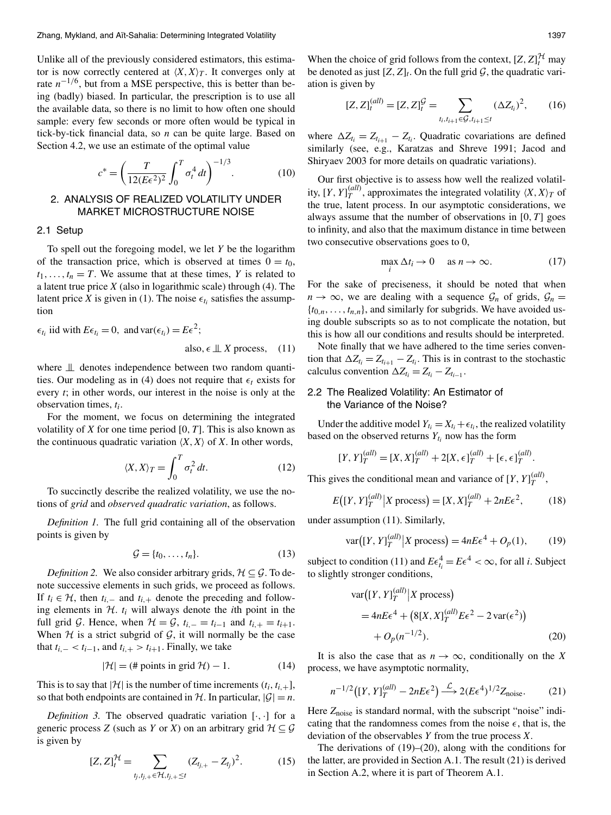Unlike all of the previously considered estimators, this estimator is now correctly centered at  $\langle X, X \rangle_T$ . It converges only at rate  $n^{-1/6}$ , but from a MSE perspective, this is better than being (badly) biased. In particular, the prescription is to use all the available data, so there is no limit to how often one should sample: every few seconds or more often would be typical in tick-by-tick financial data, so  $n$  can be quite large. Based on Section 4.2, we use an estimate of the optimal value

$$
c^* = \left(\frac{T}{12(E\epsilon^2)^2} \int_0^T \sigma_t^4 dt\right)^{-1/3}.
$$
 (10)

# 2. ANALYSIS OF REALIZED VOLATILITY UNDER **MARKET MICROSTRUCTURE NOISE**

#### 2.1 Setup

To spell out the foregoing model, we let  $Y$  be the logarithm of the transaction price, which is observed at times  $0 = t_0$ ,  $t_1, \ldots, t_n = T$ . We assume that at these times, Y is related to a latent true price  $X$  (also in logarithmic scale) through (4). The latent price X is given in (1). The noise  $\epsilon_{t_i}$  satisfies the assumption

$$
\epsilon_{t_i}
$$
 iid with  $E\epsilon_{t_i} = 0$ , and  $\text{var}(\epsilon_{t_i}) = E\epsilon^2$ ;  
also,  $\epsilon \perp x$  process, (11)

where  $\perp\!\!\!\perp$  denotes independence between two random quantities. Our modeling as in (4) does not require that  $\epsilon_t$  exists for every  $t$ ; in other words, our interest in the noise is only at the observation times,  $t_i$ .

For the moment, we focus on determining the integrated volatility of X for one time period  $[0, T]$ . This is also known as the continuous quadratic variation  $\langle X, X \rangle$  of X. In other words,

$$
\langle X, X \rangle_T = \int_0^T \sigma_t^2 \, dt. \tag{12}
$$

To succinctly describe the realized volatility, we use the notions of grid and *observed quadratic variation*, as follows.

*Definition 1.* The full grid containing all of the observation points is given by

$$
\mathcal{G} = \{t_0, \dots, t_n\}.
$$
\n<sup>(13)</sup>

*Definition 2.* We also consider arbitrary grids,  $H \subseteq \mathcal{G}$ . To denote successive elements in such grids, we proceed as follows. If  $t_i \in \mathcal{H}$ , then  $t_{i,-}$  and  $t_{i,+}$  denote the preceding and following elements in  $H$ .  $t_i$  will always denote the *i*th point in the full grid G. Hence, when  $\mathcal{H} = \mathcal{G}$ ,  $t_{i,-} = t_{i-1}$  and  $t_{i,+} = t_{i+1}$ . When  $H$  is a strict subgrid of  $G$ , it will normally be the case that  $t_{i-} < t_{i-1}$ , and  $t_{i+} > t_{i+1}$ . Finally, we take

$$
|\mathcal{H}| = (\text{# points in grid } \mathcal{H}) - 1. \tag{14}
$$

This is to say that  $|\mathcal{H}|$  is the number of time increments  $(t_i, t_{i+1})$ , so that both endpoints are contained in  $H$ . In particular,  $|G| = n$ .

*Definition 3.* The observed quadratic variation  $[\cdot, \cdot]$  for a generic process Z (such as Y or X) on an arbitrary grid  $\mathcal{H} \subseteq \mathcal{G}$ is given by

$$
[Z, Z]_{t}^{\mathcal{H}} = \sum_{t_{j}, t_{j,+} \in \mathcal{H}, t_{j,+} \leq t} (Z_{t_{j,+}} - Z_{t_{j}})^{2}.
$$
 (15)

When the choice of grid follows from the context,  $[Z, Z]_t^{\mathcal{H}}$  may be denoted as just  $[Z, Z]_t$ . On the full grid  $G$ , the quadratic variation is given by

$$
[Z, Z]_t^{(all)} = [Z, Z]_t^{\mathcal{G}} = \sum_{t_i, t_{i+1} \in \mathcal{G}, t_{i+1} \le t} (\Delta Z_{t_i})^2, \qquad (16)
$$

where  $\Delta Z_{t_i} = Z_{t_{i+1}} - Z_{t_i}$ . Quadratic covariations are defined similarly (see, e.g., Karatzas and Shreve 1991; Jacod and Shiryaev 2003 for more details on quadratic variations).

Our first objective is to assess how well the realized volatility,  $[Y, Y]_{T}^{(all)}$ , approximates the integrated volatility  $\langle X, X \rangle_{T}$  of the true, latent process. In our asymptotic considerations, we always assume that the number of observations in  $[0, T]$  goes to infinity, and also that the maximum distance in time between two consecutive observations goes to 0,

$$
\max \Delta t_i \to 0 \quad \text{ as } n \to \infty. \tag{17}
$$

For the sake of preciseness, it should be noted that when  $n \to \infty$ , we are dealing with a sequence  $\mathcal{G}_n$  of grids,  $\mathcal{G}_n =$  $\{t_{0,n},\ldots,t_{n,n}\}\$ , and similarly for subgrids. We have avoided using double subscripts so as to not complicate the notation, but this is how all our conditions and results should be interpreted.

Note finally that we have adhered to the time series convention that  $\Delta Z_{t_i} = Z_{t_{i+1}} - Z_{t_i}$ . This is in contrast to the stochastic calculus convention  $\Delta Z_{t_i} = Z_{t_i} - Z_{t_{i-1}}$ .

# 2.2 The Realized Volatility: An Estimator of the Variance of the Noise?

Under the additive model  $Y_{t_i} = X_{t_i} + \epsilon_{t_i}$ , the realized volatility based on the observed returns  $Y_{t_i}$  now has the form

$$
[Y, Y]_T^{(all)} = [X, X]_T^{(all)} + 2[X, \epsilon]_T^{(all)} + [\epsilon, \epsilon]_T^{(all)}.
$$

This gives the conditional mean and variance of [Y,  $Y\vert_T^{(all)}$ ,

$$
E\big([Y,Y]_T^{(all)}\big|X\text{ process}\big) = [X,X]_T^{(all)} + 2nE\epsilon^2,\tag{18}
$$

under assumption (11). Similarly,

$$
\text{var}([Y, Y]_T^{(all)} | X \text{ process}) = 4nE\epsilon^4 + O_p(1),\qquad(19)
$$

subject to condition (11) and  $E\epsilon_i^4 = E\epsilon^4 < \infty$ , for all *i*. Subject to slightly stronger conditions,

$$
\begin{aligned} \text{var}\big([Y, Y]_T^{(all)} \big| X \text{ process}\big) \\ &= 4nE\epsilon^4 + \big(8[X, X]_T^{(all)} E\epsilon^2 - 2\,\text{var}(\epsilon^2)\big) \\ &+ O_p(n^{-1/2}). \end{aligned} \tag{20}
$$

It is also the case that as  $n \to \infty$ , conditionally on the X process, we have asymptotic normality,

$$
n^{-1/2} \left( [Y, Y]_T^{(all)} - 2nE\epsilon^2 \right) \xrightarrow{\mathcal{L}} 2(E\epsilon^4)^{1/2} Z_{\text{noise}}.
$$
 (21)

Here  $Z_{noise}$  is standard normal, with the subscript "noise" indicating that the randomness comes from the noise  $\epsilon$ , that is, the deviation of the observables  $Y$  from the true process  $X$ .

The derivations of  $(19)$ – $(20)$ , along with the conditions for the latter, are provided in Section A.1. The result (21) is derived in Section A.2, where it is part of Theorem A.1.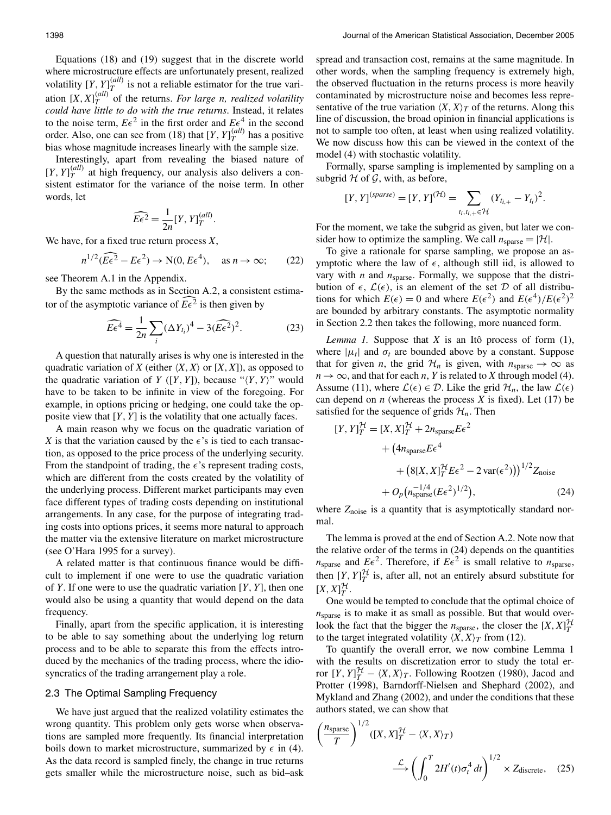Equations  $(18)$  and  $(19)$  suggest that in the discrete world where microstructure effects are unfortunately present, realized volatility  $[Y, Y]_T^{(all)}$  is not a reliable estimator for the true variation  $[X, X]_T^{(all)}$  of the returns. For large n, realized volatility could have little to do with the true returns. Instead, it relates to the noise term,  $E\epsilon^2$  in the first order and  $E\epsilon^4$  in the second order. Also, one can see from (18) that  $[Y, Y]_{T}^{(all)}$  has a positive bias whose magnitude increases linearly with the sample size.

Interestingly, apart from revealing the biased nature of  $[Y, Y]_{T}^{(all)}$  at high frequency, our analysis also delivers a consistent estimator for the variance of the noise term. In other words, let

$$
\widehat{E\epsilon^2} = \frac{1}{2n} [Y, Y]_T^{(all)}.
$$

We have, for a fixed true return process  $X$ ,

$$
n^{1/2}(\overline{E}\epsilon^2 - E\epsilon^2) \to \mathcal{N}(0, E\epsilon^4), \quad \text{as } n \to \infty; \qquad (22)
$$

see Theorem A.1 in the Appendix.

By the same methods as in Section A.2, a consistent estimator of the asymptotic variance of  $E\epsilon^2$  is then given by

$$
\widehat{E\epsilon^4} = \frac{1}{2n} \sum_{i} (\Delta Y_{t_i})^4 - 3(\widehat{E\epsilon^2})^2.
$$
 (23)

A question that naturally arises is why one is interested in the quadratic variation of X (either  $\langle X, X \rangle$  or  $[X, X]$ ), as opposed to the quadratic variation of Y ([Y, Y]), because " $\langle Y, Y \rangle$ " would have to be taken to be infinite in view of the foregoing. For example, in options pricing or hedging, one could take the opposite view that  $[Y, Y]$  is the volatility that one actually faces.

A main reason why we focus on the quadratic variation of X is that the variation caused by the  $\epsilon$ 's is tied to each transaction, as opposed to the price process of the underlying security. From the standpoint of trading, the  $\epsilon$ 's represent trading costs, which are different from the costs created by the volatility of the underlying process. Different market participants may even face different types of trading costs depending on institutional arrangements. In any case, for the purpose of integrating trading costs into options prices, it seems more natural to approach the matter via the extensive literature on market microstructure (see O'Hara 1995 for a survey).

A related matter is that continuous finance would be difficult to implement if one were to use the quadratic variation of Y. If one were to use the quadratic variation  $[Y, Y]$ , then one would also be using a quantity that would depend on the data frequency.

Finally, apart from the specific application, it is interesting to be able to say something about the underlying log return process and to be able to separate this from the effects introduced by the mechanics of the trading process, where the idiosyncratics of the trading arrangement play a role.

### 2.3 The Optimal Sampling Frequency

We have just argued that the realized volatility estimates the wrong quantity. This problem only gets worse when observations are sampled more frequently. Its financial interpretation boils down to market microstructure, summarized by  $\epsilon$  in (4). As the data record is sampled finely, the change in true returns gets smaller while the microstructure noise, such as bid-ask spread and transaction cost, remains at the same magnitude. In other words, when the sampling frequency is extremely high, the observed fluctuation in the returns process is more heavily contaminated by microstructure noise and becomes less representative of the true variation  $\langle X, X \rangle_T$  of the returns. Along this line of discussion, the broad opinion in financial applications is not to sample too often, at least when using realized volatility. We now discuss how this can be viewed in the context of the model (4) with stochastic volatility.

Formally, sparse sampling is implemented by sampling on a subgrid  $H$  of  $G$ , with, as before,

$$
[Y, Y]^{(sparse)} = [Y, Y]^{(\mathcal{H})} = \sum_{t_i, t_{i,+} \in \mathcal{H}} (Y_{t_{i,+}} - Y_{t_i})^2.
$$

For the moment, we take the subgrid as given, but later we consider how to optimize the sampling. We call  $n_{\text{sparse}} = |\mathcal{H}|$ .

To give a rationale for sparse sampling, we propose an asymptotic where the law of  $\epsilon$ , although still iid, is allowed to vary with  $n$  and  $n_{\text{sparse}}$ . Formally, we suppose that the distribution of  $\epsilon$ ,  $\mathcal{L}(\epsilon)$ , is an element of the set D of all distributions for which  $E(\epsilon) = 0$  and where  $E(\epsilon^2)$  and  $E(\epsilon^4)/E(\epsilon^2)^2$ are bounded by arbitrary constants. The asymptotic normality in Section 2.2 then takes the following, more nuanced form.

*Lemma 1.* Suppose that  $X$  is an Itô process of form  $(1)$ , where  $|\mu_t|$  and  $\sigma_t$  are bounded above by a constant. Suppose that for given *n*, the grid  $\mathcal{H}_n$  is given, with  $n_{\text{sparse}} \rightarrow \infty$  as  $n \to \infty$ , and that for each *n*, *Y* is related to *X* through model (4). Assume (11), where  $\mathcal{L}(\epsilon) \in \mathcal{D}$ . Like the grid  $\mathcal{H}_n$ , the law  $\mathcal{L}(\epsilon)$ can depend on  $n$  (whereas the process  $X$  is fixed). Let (17) be satisfied for the sequence of grids  $\mathcal{H}_n$ . Then

$$
[Y, Y]_T^{\mathcal{H}} = [X, X]_T^{\mathcal{H}} + 2n_{\text{sparse}} E \epsilon^2
$$
  
+ 
$$
(4n_{\text{sparse}} E \epsilon^4
$$
  
+ 
$$
(8[X, X]_T^{\mathcal{H}} E \epsilon^2 - 2 \text{ var}(\epsilon^2))\right)^{1/2} Z_{\text{noise}}
$$
  
+ 
$$
O_p(n_{\text{sparse}}^{-1/4} (E \epsilon^2)^{1/2}),
$$
 (24)

where  $Z_{noise}$  is a quantity that is asymptotically standard normal.

The lemma is proved at the end of Section A.2. Note now that the relative order of the terms in  $(24)$  depends on the quantities  $n_{\text{sparse}}$  and  $E\epsilon^2$ . Therefore, if  $E\epsilon^2$  is small relative to  $n_{\text{sparse}}$ , then  $[Y, Y]_T^{\mathcal{H}}$  is, after all, not an entirely absurd substitute for  $[X, X]_T^{\mathcal{H}}$ .

One would be tempted to conclude that the optimal choice of  $n_{\text{sparse}}$  is to make it as small as possible. But that would overlook the fact that the bigger the  $n_{\text{sparse}}$ , the closer the [X,  $X|_{T}^{\mathcal{H}}$ to the target integrated volatility  $\langle X, X \rangle_T$  from (12).

To quantify the overall error, we now combine Lemma 1 with the results on discretization error to study the total error  $[Y, Y]_T^{\mathcal{H}} - \langle X, X \rangle_T$ . Following Rootzen (1980), Jacod and Protter (1998), Barndorff-Nielsen and Shephard (2002), and Mykland and Zhang (2002), and under the conditions that these authors stated, we can show that

$$
\left(\frac{n_{\text{sparse}}}{T}\right)^{1/2} ([X, X]_T^{\mathcal{H}} - \langle X, X \rangle_T)
$$
\n
$$
\xrightarrow{\mathcal{L}} \left(\int_0^T 2H'(t)\sigma_t^4 dt\right)^{1/2} \times Z_{\text{discrete}}, \quad (25)
$$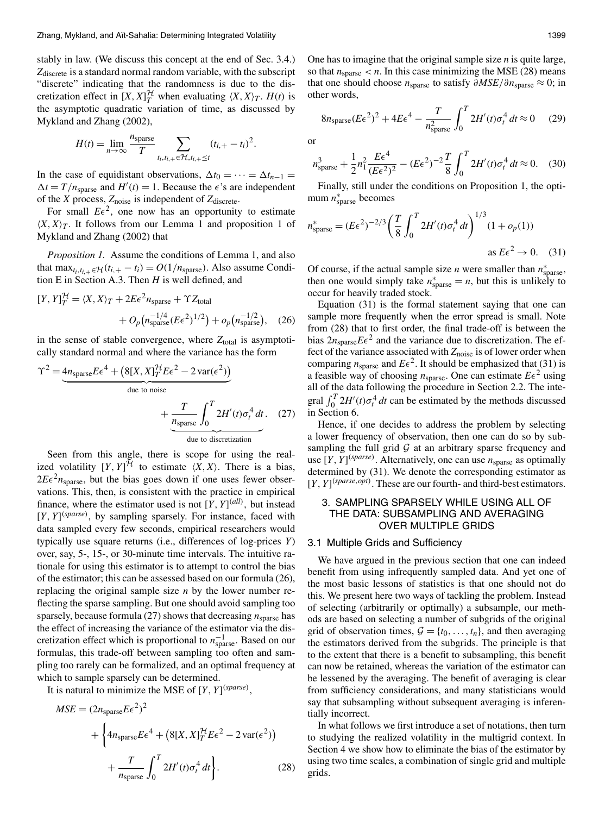stably in law. (We discuss this concept at the end of Sec. 3.4.)  $Z<sub>discrete</sub>$  is a standard normal random variable, with the subscript "discrete" indicating that the randomness is due to the discretization effect in  $[X, X]_T^{\mathcal{H}}$  when evaluating  $\langle X, X \rangle_T$ .  $H(t)$  is the asymptotic quadratic variation of time, as discussed by Mykland and Zhang (2002),

$$
H(t) = \lim_{n \to \infty} \frac{n_{\text{sparse}}}{T} \sum_{t_i, t_{i,+} \in \mathcal{H}, t_{i,+} \leq t} (t_{i,+} - t_i)^2.
$$

In the case of equidistant observations,  $\Delta t_0 = \cdots = \Delta t_{n-1}$  $\Delta t = T/n_{\text{sparse}}$  and  $H'(t) = 1$ . Because the  $\epsilon$ 's are independent of the X process,  $Z_{noise}$  is independent of  $Z_{discrete}$ .

For small  $E\epsilon^2$ , one now has an opportunity to estimate  $\langle X, X \rangle_T$ . It follows from our Lemma 1 and proposition 1 of Mykland and Zhang (2002) that

*Proposition 1.* Assume the conditions of Lemma 1, and also that  $\max_{t_i, t_{i+1} \in \mathcal{H}} (t_{i+} - t_i) = O(1/n_{\text{sparse}})$ . Also assume Condition E in Section A.3. Then  $H$  is well defined, and

$$
[Y, Y]_T^{\mathcal{H}} = \langle X, X \rangle_T + 2E\epsilon^2 n_{\text{sparse}} + \Upsilon Z_{\text{total}}
$$

$$
+ O_p(n_{\text{sparse}}^{-1/4}(E\epsilon^2)^{1/2}) + o_p(n_{\text{sparse}}^{-1/2}), \quad (26)
$$

in the sense of stable convergence, where  $Z_{total}$  is asymptotically standard normal and where the variance has the form

$$
\Upsilon^{2} = \underbrace{4n_{\text{sparse}}E\epsilon^{4} + (8[X, X]_{T}^{H}E\epsilon^{2} - 2 \text{ var}(\epsilon^{2}))}_{\text{due to noise}} + \underbrace{\frac{T}{n_{\text{sparse}}}\int_{0}^{T} 2H'(t)\sigma_{t}^{4} dt}_{\text{due to discretization}}.
$$
 (27)

Seen from this angle, there is scope for using the realized volatility  $[Y, Y]^{\mathcal{H}}$  to estimate  $\langle X, X \rangle$ . There is a bias,  $2E\epsilon^2 n_{\text{sparse}}$ , but the bias goes down if one uses fewer observations. This, then, is consistent with the practice in empirical finance, where the estimator used is not  $[Y, Y]^{(all)}$ , but instead  $[Y, Y]^{(sparse)}$ , by sampling sparsely. For instance, faced with data sampled every few seconds, empirical researchers would typically use square returns (i.e., differences of log-prices  $Y$ ) over, say, 5-, 15-, or 30-minute time intervals. The intuitive rationale for using this estimator is to attempt to control the bias of the estimator; this can be assessed based on our formula (26), replacing the original sample size  $n$  by the lower number reflecting the sparse sampling. But one should avoid sampling too sparsely, because formula (27) shows that decreasing  $n_{\text{sparse}}$  has the effect of increasing the variance of the estimator via the discretization effect which is proportional to  $n_{\text{sparse}}^{-1}$ . Based on our formulas, this trade-off between sampling too often and sampling too rarely can be formalized, and an optimal frequency at which to sample sparsely can be determined.

It is natural to minimize the MSE of  $[Y, Y]^{(sparse)}$ ,

$$
MSE = (2n_{\text{sparse}}E\epsilon^2)^2
$$
  
+ 
$$
\left\{ 4n_{\text{sparse}}E\epsilon^4 + (8[X, X]_T^{\mathcal{H}}E\epsilon^2 - 2\text{var}(\epsilon^2)) \right\}
$$
  
+ 
$$
\frac{T}{n_{\text{sparse}}} \int_0^T 2H'(t)\sigma_t^4 dt \right\}.
$$
 (28)

One has to imagine that the original sample size  $n$  is quite large, so that  $n_{\text{sparse}} < n$ . In this case minimizing the MSE (28) means that one should choose  $n_{\text{sparse}}$  to satisfy  $\partial MSE/\partial n_{\text{sparse}} \approx 0$ ; in other words,

$$
8n_{\text{sparse}}(E\epsilon^2)^2 + 4E\epsilon^4 - \frac{T}{n_{\text{sparse}}^2} \int_0^T 2H'(t)\sigma_t^4 dt \approx 0 \tag{29}
$$

<sub>or</sub>

$$
n_{\text{sparse}}^3 + \frac{1}{2}n_1^2 \frac{E\epsilon^4}{(E\epsilon^2)^2} - (E\epsilon^2)^{-2} \frac{T}{8} \int_0^T 2H'(t)\sigma_t^4 dt \approx 0. \quad (30)
$$

Finally, still under the conditions on Proposition 1, the optimum  $n_{\text{sparse}}^*$  becomes

$$
n_{\text{sparse}}^* = (E\epsilon^2)^{-2/3} \left(\frac{T}{8} \int_0^T 2H'(t)\sigma_t^4 dt\right)^{1/3} (1 + o_p(1))
$$
  
as  $E\epsilon^2 \to 0.$  (31)

Of course, if the actual sample size *n* were smaller than  $n_{\text{sparse}}^*$ , then one would simply take  $n_{\text{sparse}}^* = n$ , but this is unlikely to occur for heavily traded stock.

Equation  $(31)$  is the formal statement saying that one can sample more frequently when the error spread is small. Note from (28) that to first order, the final trade-off is between the bias  $2n_{\text{sparse}} E \epsilon^2$  and the variance due to discretization. The effect of the variance associated with  $Z_{noise}$  is of lower order when comparing  $n_{\text{sparse}}$  and  $E\epsilon^2$ . It should be emphasized that (31) is a feasible way of choosing  $n_{\text{sparse}}$ . One can estimate  $E\epsilon^2$  using all of the data following the procedure in Section 2.2. The integral  $\int_0^T 2H'(t)\sigma_t^4 dt$  can be estimated by the methods discussed in Section 6.

Hence, if one decides to address the problem by selecting a lower frequency of observation, then one can do so by subsampling the full grid  $G$  at an arbitrary sparse frequency and use [*Y*, *Y*]<sup>(*sparse*). Alternatively, one can use  $n_{\text{sparse}}$  as optimally</sup> determined by (31). We denote the corresponding estimator as  $[Y, Y]^{(sparse, opt)}$ . These are our fourth- and third-best estimators.

# 3. SAMPLING SPARSELY WHILE USING ALL OF THE DATA: SUBSAMPLING AND AVERAGING **OVER MULTIPLE GRIDS**

#### 3.1 Multiple Grids and Sufficiency

We have argued in the previous section that one can indeed benefit from using infrequently sampled data. And yet one of the most basic lessons of statistics is that one should not do this. We present here two ways of tackling the problem. Instead of selecting (arbitrarily or optimally) a subsample, our methods are based on selecting a number of subgrids of the original grid of observation times,  $\mathcal{G} = \{t_0, \ldots, t_n\}$ , and then averaging the estimators derived from the subgrids. The principle is that to the extent that there is a benefit to subsampling, this benefit can now be retained, whereas the variation of the estimator can be lessened by the averaging. The benefit of averaging is clear from sufficiency considerations, and many statisticians would say that subsampling without subsequent averaging is inferentially incorrect.

In what follows we first introduce a set of notations, then turn to studying the realized volatility in the multigrid context. In Section 4 we show how to eliminate the bias of the estimator by using two time scales, a combination of single grid and multiple grids.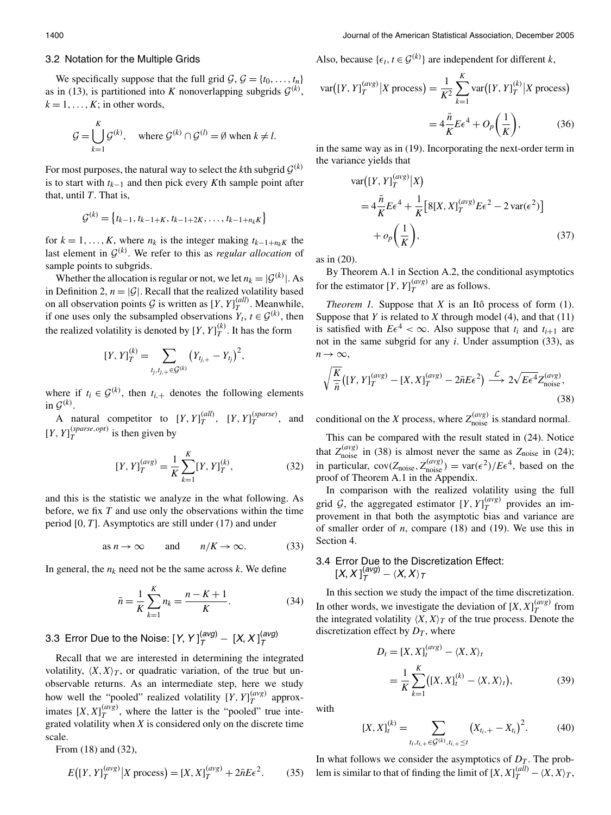#### 3.2 Notation for the Multiple Grids

We specifically suppose that the full grid  $\mathcal{G}, \mathcal{G} = \{t_0, \ldots, t_n\}$ as in (13), is partitioned into K nonoverlapping subgrids  $G^{(k)}$ ,  $k = 1, \ldots, K$ ; in other words,

$$
\mathcal{G} = \bigcup_{k=1}^{K} \mathcal{G}^{(k)}, \quad \text{where } \mathcal{G}^{(k)} \cap \mathcal{G}^{(l)} = \emptyset \text{ when } k \neq l.
$$

For most purposes, the natural way to select the kth subgrid  $\mathcal{G}^{(k)}$ is to start with  $t_{k-1}$  and then pick every Kth sample point after that, until  $T$ . That is,

$$
\mathcal{G}^{(k)} = \{t_{k-1}, t_{k-1+K}, t_{k-1+2K}, \ldots, t_{k-1+n_k} \}
$$

for  $k = 1, ..., K$ , where  $n_k$  is the integer making  $t_{k-1+n_k}$  the last element in  $\mathcal{G}^{(k)}$ . We refer to this as *regular allocation* of sample points to subgrids.

Whether the allocation is regular or not, we let  $n_k = |G^{(k)}|$ . As in Definition 2,  $n = |\mathcal{G}|$ . Recall that the realized volatility based on all observation points  $G$  is written as  $[Y, Y]_T^{(all)}$ . Meanwhile, if one uses only the subsampled observations  $Y_t$ ,  $t \in \mathcal{G}^{(k)}$ , then the realized volatility is denoted by  $[Y, Y]_T^{(k)}$ . It has the form

$$
[Y, Y]_T^{(k)} = \sum_{t_j, t_{j,+} \in \mathcal{G}^{(k)}} (Y_{t_{j,+}} - Y_{t_j})^2,
$$

where if  $t_i \in \mathcal{G}^{(k)}$ , then  $t_{i,+}$  denotes the following elements in  $\mathcal{G}^{(k)}$ .

A natural competitor to  $[Y, Y]_{T}^{(all)}$ ,  $[Y, Y]_{T}^{(sparse)}$ , and [*Y*,  $Y$ ] $_T^{(sparse,opt)}$  is then given by

$$
[Y, Y]_T^{(avg)} = \frac{1}{K} \sum_{k=1}^K [Y, Y]_T^{(k)},
$$
\n(32)

and this is the statistic we analyze in the what following. As before, we fix  $T$  and use only the observations within the time period  $[0, T]$ . Asymptotics are still under  $(17)$  and under

as 
$$
n \to \infty
$$
 and  $n/K \to \infty$ . (33)

In general, the  $n_k$  need not be the same across k. We define

$$
\bar{n} = \frac{1}{K} \sum_{k=1}^{K} n_k = \frac{n - K + 1}{K}.
$$
 (34)

3.3 Error Due to the Noise:  $[Y, Y]_{T}^{(avg)} - [X, X]_{T}^{(avg)}$ 

Recall that we are interested in determining the integrated volatility,  $\langle X, X \rangle_T$ , or quadratic variation, of the true but unobservable returns. As an intermediate step, here we study how well the "pooled" realized volatility  $[Y, Y]_T^{(avg)}$  approximates  $[X, X]_T^{(avg)}$ , where the latter is the "pooled" true integrated volatility when  $X$  is considered only on the discrete time scale.

From (18) and (32),

$$
E([Y, Y]_T^{(avg)} | X \text{ process}) = [X, X]_T^{(avg)} + 2\bar{n}E\epsilon^2.
$$
 (35)

Also, because  $\{\epsilon_t, t \in \mathcal{G}^{(k)}\}$  are independent for different k,

$$
\text{var}([Y, Y]_T^{(avg)} | X \text{ process}) = \frac{1}{K^2} \sum_{k=1}^K \text{var}([Y, Y]_T^{(k)} | X \text{ process})
$$

$$
= 4\frac{\bar{n}}{K} E\epsilon^4 + O_p\left(\frac{1}{K}\right),\tag{36}
$$

in the same way as in (19). Incorporating the next-order term in the variance yields that

$$
\begin{split} \text{var}\big([Y,Y]_T^{(avg)}\big|X\big) \\ &= 4\frac{\bar{n}}{K}E\epsilon^4 + \frac{1}{K}\big[8[X,X]_T^{(avg)}E\epsilon^2 - 2\,\text{var}(\epsilon^2)\big] \\ &+ o_p\bigg(\frac{1}{K}\bigg), \end{split} \tag{37}
$$

as in  $(20)$ .

By Theorem A.1 in Section A.2, the conditional asymptotics for the estimator  $[Y, Y]_T^{(avg)}$  are as follows.

Theorem 1. Suppose that  $X$  is an Itô process of form (1). Suppose that Y is related to X through model (4), and that  $(11)$ is satisfied with  $E\epsilon^4 < \infty$ . Also suppose that  $t_i$  and  $t_{i+1}$  are not in the same subgrid for any  $i$ . Under assumption (33), as  $n \rightarrow \infty$ ,

$$
\sqrt{\frac{K}{\bar{n}}}\left([Y,Y]_T^{(avg)} - [X,X]_T^{(avg)} - 2\bar{n}E\epsilon^2\right) \stackrel{\mathcal{L}}{\longrightarrow} 2\sqrt{E\epsilon^4}Z_{\text{noise}}^{(avg)},\tag{38}
$$

conditional on the X process, where  $Z_{\text{noise}}^{(avg)}$  is standard normal.

This can be compared with the result stated in (24). Notice that  $Z_{\text{noise}}^{(avg)}$  in (38) is almost never the same as  $Z_{\text{noise}}$  in (24);<br>in particular,  $cov(Z_{\text{noise}}, Z_{\text{noise}}^{(avg)}) = var(\epsilon^2)/E\epsilon^4$ , based on the proof of Theorem A.1 in the Appendix.

In comparison with the realized volatility using the full grid G, the aggregated estimator  $[Y, Y]_T^{(avg)}$  provides an improvement in that both the asymptotic bias and variance are of smaller order of  $n$ , compare (18) and (19). We use this in Section 4.

# 3.4 Error Due to the Discretization Effect:<br>[X,  $X$ ] $^{(avg)}_T - \langle X, X \rangle_T$

In this section we study the impact of the time discretization. In other words, we investigate the deviation of  $[X, X]_{T}^{(avg)}$  from the integrated volatility  $\langle X, X \rangle_T$  of the true process. Denote the discretization effect by  $D_T$ , where

$$
D_t = [X, X]_t^{(avg)} - \langle X, X \rangle_t
$$
  
=  $\frac{1}{K} \sum_{k=1}^K ([X, X]_t^{(k)} - \langle X, X \rangle_t),$  (39)

with

$$
[X, X]_t^{(k)} = \sum_{t_i, t_{i,+} \in \mathcal{G}^{(k)}, t_{i,+} \le t} (X_{t_i,+} - X_{t_i})^2.
$$
 (40)

In what follows we consider the asymptotics of  $D_T$ . The problem is similar to that of finding the limit of  $[X, X]_T^{(all)} - \langle X, X \rangle_T$ ,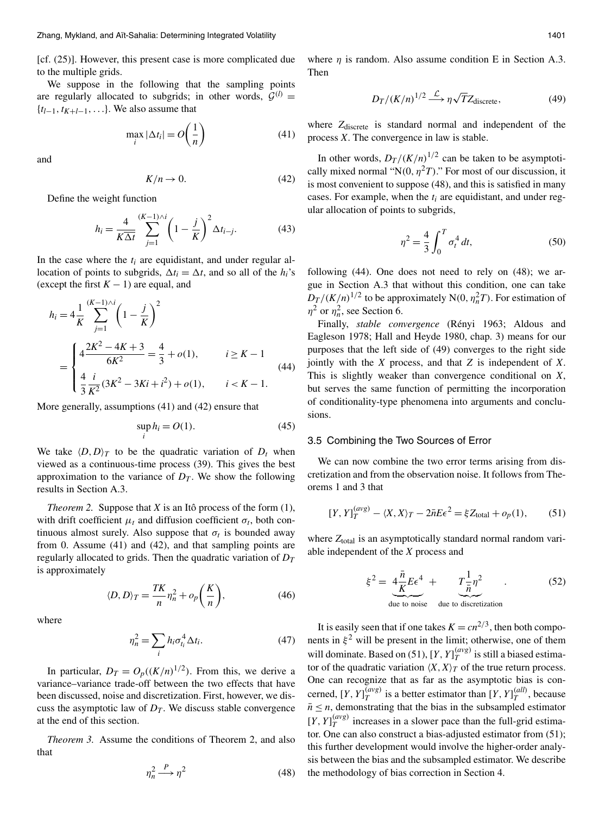[cf. (25)]. However, this present case is more complicated due to the multiple grids.

We suppose in the following that the sampling points are regularly allocated to subgrids; in other words,  $G^{(l)}$  =  $\{t_{l-1}, t_{K+l-1}, \ldots\}$ . We also assume that

$$
\max_{i} |\Delta t_i| = O\left(\frac{1}{n}\right) \tag{41}
$$

and

$$
K/n \to 0. \tag{42}
$$

Define the weight function

 $\mathcal{L}_{\text{max}}$  . The  $\mathcal{L}_{\text{max}}$ 

$$
h_i = \frac{4}{K\Delta t} \sum_{j=1}^{(K-1)\wedge i} \left(1 - \frac{j}{K}\right)^2 \Delta t_{i-j}.
$$
 (43)

In the case where the  $t_i$  are equidistant, and under regular allocation of points to subgrids,  $\Delta t_i = \Delta t$ , and so all of the  $h_i$ 's (except the first  $K - 1$ ) are equal, and

$$
h_i = 4\frac{1}{K} \sum_{j=1}^{(K-1)\wedge i} \left(1 - \frac{j}{K}\right)^2
$$
  
= 
$$
\begin{cases} 4\frac{2K^2 - 4K + 3}{6K^2} = \frac{4}{3} + o(1), & i \ge K - 1\\ \frac{4}{3}\frac{i}{K^2}(3K^2 - 3Ki + i^2) + o(1), & i < K - 1. \end{cases}
$$
(44)

More generally, assumptions  $(41)$  and  $(42)$  ensure that

$$
\sup h_i = O(1). \tag{45}
$$

We take  $\langle D, D \rangle_T$  to be the quadratic variation of  $D_t$  when viewed as a continuous-time process (39). This gives the best approximation to the variance of  $D_T$ . We show the following results in Section A.3.

*Theorem 2.* Suppose that  $X$  is an Itô process of the form  $(1)$ , with drift coefficient  $\mu_t$  and diffusion coefficient  $\sigma_t$ , both continuous almost surely. Also suppose that  $\sigma_t$  is bounded away from 0. Assume  $(41)$  and  $(42)$ , and that sampling points are regularly allocated to grids. Then the quadratic variation of  $D_T$ is approximately

$$
\langle D, D \rangle_T = \frac{TK}{n} \eta_n^2 + o_p\bigg(\frac{K}{n}\bigg),\tag{46}
$$

where

$$
\eta_n^2 = \sum_i h_i \sigma_{t_i}^4 \Delta t_i. \tag{47}
$$

In particular,  $D_T = O_p((K/n)^{1/2})$ . From this, we derive a variance-variance trade-off between the two effects that have been discussed, noise and discretization. First, however, we discuss the asymptotic law of  $D<sub>T</sub>$ . We discuss stable convergence at the end of this section.

*Theorem 3.* Assume the conditions of Theorem 2, and also that

$$
\eta_n^2 \xrightarrow{P} \eta^2 \tag{48}
$$

where  $\eta$  is random. Also assume condition E in Section A.3. Then

$$
D_T/(K/n)^{1/2} \xrightarrow{\mathcal{L}} \eta \sqrt{T} Z_{\text{discrete}},\tag{49}
$$

where Zdiscrete is standard normal and independent of the process  $X$ . The convergence in law is stable.

In other words,  $D_T/(K/n)^{1/2}$  can be taken to be asymptotically mixed normal "N(0,  $\eta^2 T$ )." For most of our discussion, it is most convenient to suppose (48), and this is satisfied in many cases. For example, when the  $t_i$  are equidistant, and under regular allocation of points to subgrids,

$$
\eta^2 = \frac{4}{3} \int_0^T \sigma_t^4 dt,\tag{50}
$$

following  $(44)$ . One does not need to rely on  $(48)$ ; we argue in Section A.3 that without this condition, one can take  $D_T/(K/n)^{1/2}$  to be approximately N(0,  $\eta_n^2T$ ). For estimation of  $\eta^2$  or  $\eta_n^2$ , see Section 6.

Finally, stable convergence (Rényi 1963; Aldous and Eagleson 1978; Hall and Heyde 1980, chap. 3) means for our purposes that the left side of (49) converges to the right side jointly with the  $X$  process, and that  $Z$  is independent of  $X$ . This is slightly weaker than convergence conditional on  $X$ , but serves the same function of permitting the incorporation of conditionality-type phenomena into arguments and conclusions.

#### 3.5 Combining the Two Sources of Error

We can now combine the two error terms arising from discretization and from the observation noise. It follows from Theorems 1 and 3 that

$$
[Y, Y]_T^{(avg)} - \langle X, X \rangle_T - 2\bar{n}E\epsilon^2 = \xi Z_{\text{total}} + o_p(1), \qquad (51)
$$

where Z<sub>total</sub> is an asymptotically standard normal random variable independent of the  $X$  process and

$$
\xi^2 = \underbrace{4\frac{\bar{n}}{K}E\epsilon^4}_{\text{due to noise}} + \underbrace{T\frac{1}{\bar{n}}\eta^2}_{\text{due to discrete data}}.
$$
 (52)

It is easily seen that if one takes  $K = cn^{2/3}$ , then both components in  $\xi^2$  will be present in the limit; otherwise, one of them will dominate. Based on (51),  $[Y, Y]_T^{(avg)}$  is still a biased estimator of the quadratic variation  $\langle X, X \rangle_T$  of the true return process. One can recognize that as far as the asymptotic bias is concerned,  $[Y, Y]_T^{(avg)}$  is a better estimator than  $[Y, Y]_T^{(all)}$ , because  $\bar{n} \leq n$ , demonstrating that the bias in the subsampled estimator  $[Y, Y]_T^{(avg)}$  increases in a slower pace than the full-grid estimator. One can also construct a bias-adjusted estimator from (51); this further development would involve the higher-order analysis between the bias and the subsampled estimator. We describe the methodology of bias correction in Section 4.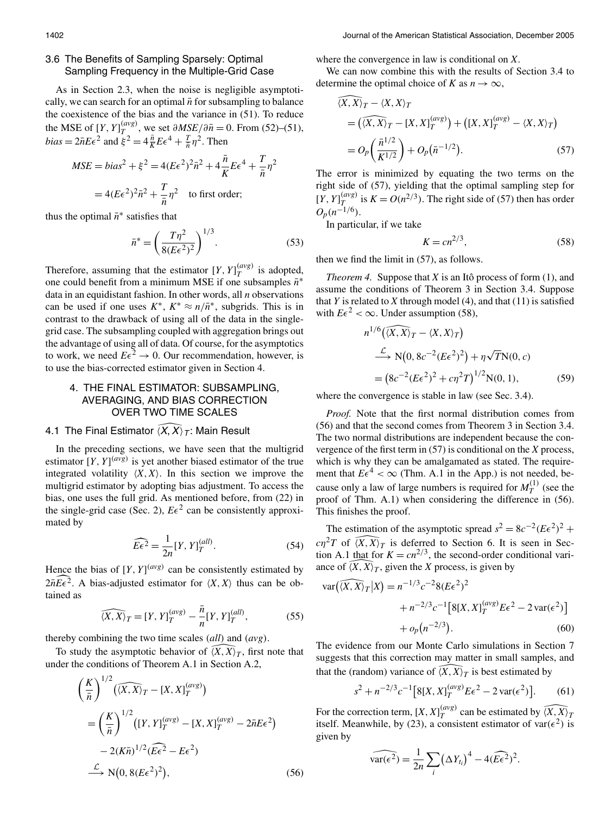# 3.6 The Benefits of Sampling Sparsely: Optimal Sampling Frequency in the Multiple-Grid Case

As in Section 2.3, when the noise is negligible asymptotically, we can search for an optimal  $\bar{n}$  for subsampling to balance the coexistence of the bias and the variance in (51). To reduce the MSE of  $[Y, Y]_T^{(avg)}$ , we set  $\partial MSE/\partial \overline{n} = 0$ . From (52)–(51),<br>bias =  $2\overline{n}E\epsilon^2$  and  $\xi^2 = 4\frac{\overline{n}}{K}E\epsilon^4 + \frac{\overline{n}}{n}\eta^2$ . Then

$$
MSE = bias^2 + \xi^2 = 4(E\epsilon^2)^2 \bar{n}^2 + 4\frac{\bar{n}}{K} E\epsilon^4 + \frac{T}{\bar{n}}\eta^2
$$

$$
= 4(E\epsilon^2)^2 \bar{n}^2 + \frac{T}{\bar{n}}\eta^2 \quad \text{to first order;}
$$

thus the optimal  $\bar{n}^*$  satisfies that

$$
\bar{n}^* = \left(\frac{T\eta^2}{8(E\epsilon^2)^2}\right)^{1/3}.\tag{53}
$$

Therefore, assuming that the estimator  $[Y, Y]_T^{(avg)}$  is adopted, one could benefit from a minimum MSE if one subsamples  $\bar{n}^*$ data in an equidistant fashion. In other words, all  $n$  observations can be used if one uses  $K^*$ ,  $K^* \approx n/\bar{n}^*$ , subgrids. This is in contrast to the drawback of using all of the data in the singlegrid case. The subsampling coupled with aggregation brings out the advantage of using all of data. Of course, for the asymptotics to work, we need  $E\epsilon^2 \to 0$ . Our recommendation, however, is to use the bias-corrected estimator given in Section 4.

# 4. THE FINAL ESTIMATOR: SUBSAMPLING, AVERAGING, AND BIAS CORRECTION **OVER TWO TIME SCALES**

# 4.1 The Final Estimator  $\langle X, X \rangle_T$ : Main Result

In the preceding sections, we have seen that the multigrid estimator  $[Y, Y]^{(avg)}$  is yet another biased estimator of the true integrated volatility  $\langle X, X \rangle$ . In this section we improve the multigrid estimator by adopting bias adjustment. To access the bias, one uses the full grid. As mentioned before, from (22) in the single-grid case (Sec. 2),  $E\epsilon^2$  can be consistently approximated by

$$
\widehat{E\epsilon^2} = \frac{1}{2n} [Y, Y]_T^{(all)}.
$$
\n(54)

Hence the bias of  $[Y, Y]^{(avg)}$  can be consistently estimated by  $2n\widehat{E\epsilon^2}$ . A bias-adjusted estimator for  $\langle X, X \rangle$  thus can be obtained as

$$
\widehat{(X,X)}_T = [Y, Y]_T^{(avg)} - \frac{\bar{n}}{n} [Y, Y]_T^{(all)},
$$
\n(55)

thereby combining the two time scales  $\left(\frac{all}{} \right)$  and  $\left(\frac{avg}{} \right)$ .

To study the asymptotic behavior of  $\overline{(X,X)}_T$ , first note that under the conditions of Theorem A.1 in Section A.2,

$$
\left(\frac{K}{\bar{n}}\right)^{1/2} \left(\widehat{\langle X, X \rangle}_T - [X, X]_T^{(avg)}\right)
$$
\n
$$
= \left(\frac{K}{\bar{n}}\right)^{1/2} \left([Y, Y]_T^{(avg)} - [X, X]_T^{(avg)} - 2\bar{n}E\epsilon^2\right)
$$
\n
$$
- 2(K\bar{n})^{1/2} \left(\widehat{E\epsilon^2} - E\epsilon^2\right)
$$
\n
$$
\xrightarrow{\mathcal{L}} N(0, 8(E\epsilon^2)^2), \tag{56}
$$

where the convergence in law is conditional on  $X$ .

We can now combine this with the results of Section 3.4 to determine the optimal choice of K as  $n \to \infty$ ,

$$
\overline{(X,X)}_T - \langle X,X \rangle_T
$$
\n
$$
= \left( \overline{\langle X,X \rangle}_T - [X,X]_T^{(avg)} \right) + \left( [X,X]_T^{(avg)} - \langle X,X \rangle_T \right)
$$
\n
$$
= O_p \left( \frac{\overline{n}^{1/2}}{K^{1/2}} \right) + O_p(\overline{n}^{-1/2}). \tag{57}
$$

The error is minimized by equating the two terms on the right side of (57), yielding that the optimal sampling step for  $[Y, Y]_T^{(avg)}$  is  $K = O(n^{2/3})$ . The right side of (57) then has order  $O_n(n^{-1/6})$ .

In particular, if we take

$$
K = c n^{2/3},\tag{58}
$$

then we find the limit in  $(57)$ , as follows.

*Theorem 4.* Suppose that  $X$  is an Itô process of form  $(1)$ , and assume the conditions of Theorem 3 in Section 3.4. Suppose that Y is related to X through model (4), and that  $(11)$  is satisfied with  $E\epsilon^2 < \infty$ . Under assumption (58),

$$
n^{1/6}(\overline{(X,X)}_T - \langle X,X \rangle_T)
$$
  
\n
$$
\xrightarrow{\mathcal{L}} N(0, 8c^{-2}(E\epsilon^2)^2) + \eta \sqrt{T}N(0, c)
$$
  
\n
$$
= (8c^{-2}(E\epsilon^2)^2 + c\eta^2 T)^{1/2}N(0, 1),
$$
 (59)

where the convergence is stable in law (see Sec. 3.4).

Proof. Note that the first normal distribution comes from (56) and that the second comes from Theorem 3 in Section 3.4. The two normal distributions are independent because the convergence of the first term in  $(57)$  is conditional on the X process, which is why they can be amalgamated as stated. The requirement that  $E\epsilon^4 < \infty$  (Thm. A.1 in the App.) is not needed, because only a law of large numbers is required for  $M_T^{(1)}$  (see the proof of Thm. A.1) when considering the difference in (56). This finishes the proof.

The estimation of the asymptotic spread  $s^2 = 8c^{-2}(E\epsilon^2)^2 +$  $c\eta^2T$  of  $\widehat{X},\widehat{X}_T$  is deferred to Section 6. It is seen in Section A.1 that for  $K = cn^{2/3}$ , the second-order conditional variance of  $(X, \overline{X})_T$ , given the X process, is given by

$$
\begin{aligned} \text{var}(\widehat{\langle X, X \rangle}_T | X) &= n^{-1/3} c^{-2} 8(E\epsilon^2)^2 \\ &+ n^{-2/3} c^{-1} \big[ 8[X, X]_T^{(avg)} E\epsilon^2 - 2 \, \text{var}(\epsilon^2) \big] \\ &+ o_p(n^{-2/3}). \end{aligned} \tag{60}
$$

The evidence from our Monte Carlo simulations in Section 7 suggests that this correction may matter in small samples, and that the (random) variance of  $\widehat{X}, \widehat{X}_T$  is best estimated by

$$
s^{2} + n^{-2/3}c^{-1}[8[X, X]_{T}^{(avg)}E\epsilon^{2} - 2var(\epsilon^{2})].
$$
 (61)

For the correction term,  $[X, X]_T^{(avg)}$  can be estimated by  $\widehat{\langle X, X \rangle}_T$  itself. Meanwhile, by (23), a consistent estimator of var( $\epsilon^2$ ) is given by

$$
\widehat{\text{var}(\epsilon^2)} = \frac{1}{2n} \sum_{i} (\Delta Y_{t_i})^4 - 4(\widehat{E\epsilon^2})^2
$$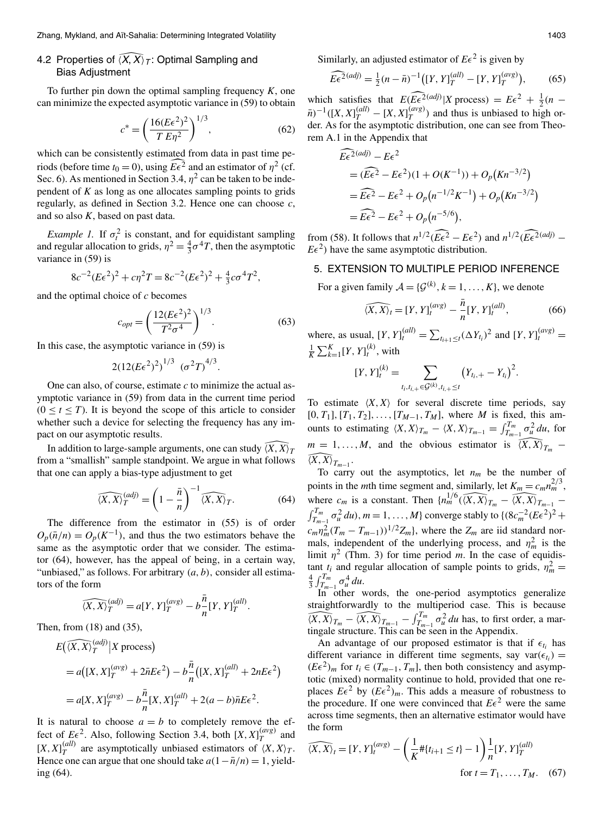# 4.2 Properties of  $(X, X)$   $\tau$ : Optimal Sampling and **Bias Adjustment**

To further pin down the optimal sampling frequency  $K$ , one can minimize the expected asymptotic variance in (59) to obtain

$$
c^* = \left(\frac{16(E\epsilon^2)^2}{T E\eta^2}\right)^{1/3},\tag{62}
$$

which can be consistently estimated from data in past time periods (before time  $t_0 = 0$ ), using  $\widehat{E \epsilon^2}$  and an estimator of  $\eta^2$  (cf. Sec. 6). As mentioned in Section 3.4,  $n^2$  can be taken to be independent of  $K$  as long as one allocates sampling points to grids regularly, as defined in Section 3.2. Hence one can choose  $c$ , and so also  $K$ , based on past data.

*Example 1.* If  $\sigma_t^2$  is constant, and for equidistant sampling and regular allocation to grids,  $\eta^2 = \frac{4}{3}\sigma^4 T$ , then the asymptotic variance in  $(59)$  is

$$
8c^{-2}(E\epsilon^2)^2 + c\eta^2 T = 8c^{-2}(E\epsilon^2)^2 + \frac{4}{3}c\sigma^4 T^2,
$$

and the optimal choice of  $c$  becomes

$$
c_{opt} = \left(\frac{12(E\epsilon^2)^2}{T^2 \sigma^4}\right)^{1/3}.\tag{63}
$$

In this case, the asymptotic variance in  $(59)$  is

$$
2(12(E\epsilon^2)^2)^{1/3} (\sigma^2T)^{4/3}.
$$

One can also, of course, estimate  $c$  to minimize the actual asymptotic variance in (59) from data in the current time period  $(0 \lt t \lt T)$ . It is beyond the scope of this article to consider whether such a device for selecting the frequency has any impact on our asymptotic results.

In addition to large-sample arguments, one can study  $(X, X)$ from a "smallish" sample standpoint. We argue in what follows that one can apply a bias-type adjustment to get

$$
\widehat{\langle X, X \rangle}_T^{(adj)} = \left(1 - \frac{\bar{n}}{n}\right)^{-1} \widehat{\langle X, X \rangle}_T. \tag{64}
$$

The difference from the estimator in (55) is of order  $O_p(\bar{n}/n) = O_p(K^{-1})$ , and thus the two estimators behave the same as the asymptotic order that we consider. The estimator (64), however, has the appeal of being, in a certain way, "unbiased," as follows. For arbitrary  $(a, b)$ , consider all estimators of the form

$$
\widehat{\langle X, X \rangle}_T^{(adj)} = a[Y, Y]_T^{(avg)} - b\frac{n}{n}[Y, Y]_T^{(all)}.
$$

Then, from  $(18)$  and  $(35)$ ,

$$
E((X, X)_T^{(adj)} | X \text{ process})
$$
  
=  $a([X, X]_T^{(avg)} + 2\bar{n}E\epsilon^2) - b\frac{\bar{n}}{n}([X, X]_T^{(all)} + 2nE\epsilon^2)$   
=  $a[X, X]_T^{(avg)} - b\frac{\bar{n}}{n}[X, X]_T^{(all)} + 2(a - b)\bar{n}E\epsilon^2$ .

It is natural to choose  $a = b$  to completely remove the effect of  $E\epsilon^2$ . Also, following Section 3.4, both  $[X, X]_T^{(avg)}$  and  $[X, X]_{\tau}^{(all)}$  are asymptotically unbiased estimators of  $\langle X, X \rangle_{\tau}$ . Hence one can argue that one should take  $a(1 - \bar{n}/n) = 1$ , yielding  $(64)$ .

Similarly, an adjusted estimator of  $E\epsilon^2$  is given by

$$
\widehat{E\epsilon^2}^{(adj)} = \frac{1}{2}(n - \bar{n})^{-1} ([Y, Y]_T^{(all)} - [Y, Y]_T^{(avg)}),
$$
(65)

which satisfies that  $E(\widehat{E\epsilon^2}^{(adj)}|X \text{ process}) = E\epsilon^2 + \frac{1}{2}(n - \bar{n})^{-1}([X, X]_T^{(all)} - [X, X]_T^{(avg)})$  and thus is unbiased to high order. As for the asymptotic distribution, one can see from Theorem A.1 in the Appendix that

$$
\widehat{E\epsilon^2}^{(adj)} - E\epsilon^2
$$
  
=  $(\widehat{E\epsilon^2} - E\epsilon^2)(1 + O(K^{-1})) + O_p(Kn^{-3/2})$   
=  $\widehat{E\epsilon^2} - E\epsilon^2 + O_p(n^{-1/2}K^{-1}) + O_p(Kn^{-3/2})$   
=  $\widehat{E\epsilon^2} - E\epsilon^2 + O_p(n^{-5/6}),$ 

from (58). It follows that  $n^{1/2}(\widehat{E\epsilon^2} - E\epsilon^2)$  and  $n^{1/2}(\widehat{E\epsilon^2}^{(adj)} - E\epsilon^2)$  $E\epsilon^2$ ) have the same asymptotic distribution.

# 5. EXTENSION TO MULTIPLE PERIOD INFERENCE

For a given family  $A = \{G^{(k)}, k = 1, ..., K\}$ , we denote

$$
\widehat{\langle X, X \rangle_t} = [Y, Y]_t^{(avg)} - \frac{\bar{n}}{n} [Y, Y]_t^{(all)},
$$
\n(66)

where, as usual,  $[Y, Y]_t^{(all)} = \sum_{t_{i+1} \le t} (\Delta Y_{t_i})^2$  and  $[Y, Y]_t^{(avg)} =$  $\frac{1}{K}\sum_{k=1}^{K} [Y, Y]_{t}^{(k)}$ , with

$$
[Y, Y]_{t}^{(k)} = \sum_{t_i, t_{i,+} \in \mathcal{G}^{(k)}, t_{i,+} \leq t} (Y_{t_i,+} - Y_{t_i})^2.
$$

To estimate  $(X, X)$  for several discrete time periods, say  $[0, T_1], [T_1, T_2], \ldots, [T_{M-1}, T_M],$  where M is fixed, this amounts to estimating  $\langle X, X \rangle_{T_m} - \langle X, X \rangle_{T_{m-1}} = \int_{T_{m-1}}^{T_m} \sigma_u^2 du$ , for  $m = 1, ..., M$ , and the obvious estimator is  $\widehat{(X,X)}_{T_m}$  –  $\widehat{\langle X, X\rangle}_{T_{m-1}}$ .

To carry out the asymptotics, let  $n_m$  be the number of points in the *m*th time segment and, similarly, let  $K_m = c_m n_m^{2/3}$ , where  $c_m$  is a constant. Then  $\{n_m^{1/6}(\widehat{(X,X)}_{T_m} - \widehat{(X,X)}_{T_{m-1}} - \widehat{(X,X)}_{T_{m-1}}\}$  $\int_{T_{m-1}}^{T_m} \sigma_u^2 du$ ,  $m = 1, ..., M$ } converge stably to  $\{ (8c_m^{-2} (E \epsilon^2))^2 +$  $c_m \eta_m^2 (T_m - T_{m-1}))^{1/2} Z_m$ , where the  $Z_m$  are iid standard normals, independent of the underlying process, and  $\eta_m^2$  is the limit  $\eta^2$  (Thm. 3) for time period m. In the case of equidistant  $t_i$  and regular allocation of sample points to grids,  $\eta_m^2 =$  $rac{4}{3} \int_{T_{m-1}}^{T_m} \sigma_u^4 du.$ 

In other words, the one-period asymptotics generalize straightforwardly to the multiperiod case. This is because  $\widehat{\langle X, X \rangle}_{T_m} - \widehat{\langle X, X \rangle}_{T_{m-1}} - \int_{T_{m-1}}^{T_m} \sigma_u^2 du$  has, to first order, a martingale structure. This can be seen in the Appendix.

An advantage of our proposed estimator is that if  $\epsilon_{t_i}$  has different variance in different time segments, say var $(\epsilon_{t_i})$  =  $(E\epsilon^2)_m$  for  $t_i \in (T_{m-1}, T_m]$ , then both consistency and asymptotic (mixed) normality continue to hold, provided that one replaces  $E\epsilon^2$  by  $(E\epsilon^2)_m$ . This adds a measure of robustness to the procedure. If one were convinced that  $E\epsilon^2$  were the same across time segments, then an alternative estimator would have the form

$$
\widehat{\langle X, X \rangle}_t = [Y, Y]_t^{(avg)} - \left(\frac{1}{K} \# \{t_{i+1} \le t\} - 1\right) \frac{1}{n} [Y, Y]_T^{(all)}
$$
  
for  $t = T_1, ..., T_M$ . (67)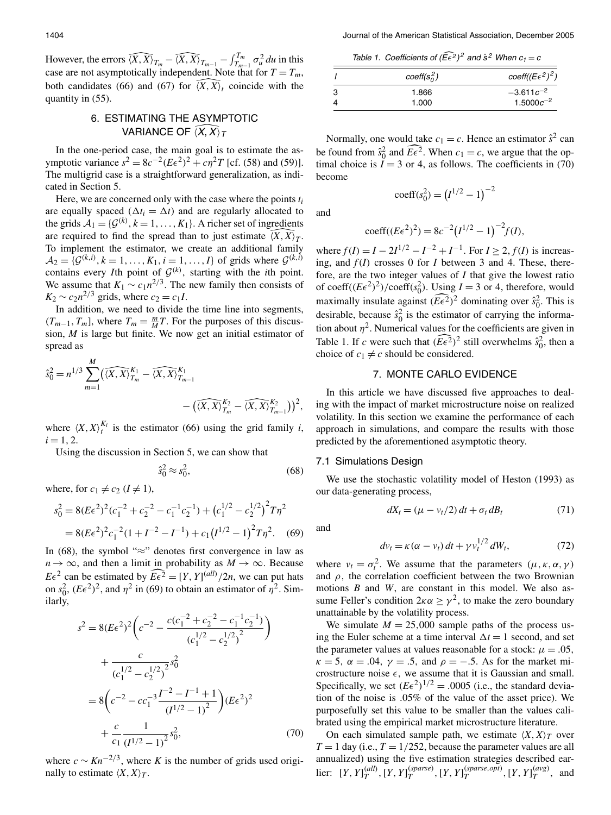However, the errors  $\widehat{\langle X, X \rangle}_{T_m} - \widehat{\langle X, X \rangle}_{T_{m-1}} - \int_{T_{m-1}}^{T_m} \sigma_u^2 du$  in this case are not asymptotically independent. Note that for  $T = T_m$ , both candidates (66) and (67) for  $\overline{(X, X)}_t$  coincide with the quantity in (55).

# 6. ESTIMATING THE ASYMPTOTIC VARIANCE OF  $\widehat{\langle X, X \rangle}_T$

In the one-period case, the main goal is to estimate the asymptotic variance  $s^2 = 8c^{-2}(E\epsilon^2)^2 + c\eta^2 T$  [cf. (58) and (59)]. The multigrid case is a straightforward generalization, as indicated in Section 5.

Here, we are concerned only with the case where the points  $t_i$ are equally spaced ( $\Delta t_i = \Delta t$ ) and are regularly allocated to the grids  $A_1 = \{G^{(k)}, k = 1, ..., K_1\}$ . A richer set of ingredients are required to find the spread than to just estimate  $(X, \overline{X})_T$ . To implement the estimator, we create an additional family  $A_2 = \{G^{(k,i)}, k = 1, ..., K_1, i = 1, ..., I\}$  of grids where  $G^{(k,i)}$ contains every *I*th point of  $G^{(k)}$ , starting with the *i*th point. We assume that  $K_1 \sim c_1 n^{2/3}$ . The new family then consists of  $K_2 \sim c_2 n^{2/3}$  grids, where  $c_2 = c_1 I$ .

In addition, we need to divide the time line into segments,  $(T_{m-1}, T_m]$ , where  $T_m = \frac{m}{M}T$ . For the purposes of this discussion,  $M$  is large but finite. We now get an initial estimator of spread as

$$
\hat{s}_0^2 = n^{1/3} \sum_{m=1}^{M} \left( \widehat{\langle X, X \rangle}^{K_1}_{T_m} - \widehat{\langle X, X \rangle}^{K_1}_{T_{m-1}} - \left( \widehat{\langle X, X \rangle}^{K_2}_{T_m} - \widehat{\langle X, X \rangle}^{K_2}_{T_{m-1}} \right) \right)^2,
$$

where  $\langle X, X \rangle_t^{K_i}$  is the estimator (66) using the grid family *i*,  $i = 1, 2.$ 

Using the discussion in Section 5, we can show that

$$
\hat{s}_0^2 \approx s_0^2,\tag{68}
$$

where, for  $c_1 \neq c_2$   $(I \neq 1)$ ,

$$
s_0^2 = 8(E\epsilon^2)^2(c_1^{-2} + c_2^{-2} - c_1^{-1}c_2^{-1}) + (c_1^{1/2} - c_2^{1/2})^2 T\eta^2
$$
  
= 8(E\epsilon^2)^2c\_1^{-2}(1 + I^{-2} - I^{-1}) + c\_1(I^{1/2} - 1)^2 T\eta^2. (69)

In (68), the symbol " $\approx$ " denotes first convergence in law as  $n \to \infty$ , and then a limit in probability as  $M \to \infty$ . Because  $E\epsilon^2$  can be estimated by  $\widehat{E\epsilon^2} = [Y, Y]^{(all)}/2n$ , we can put hats on  $s_0^2$ ,  $(E\epsilon^2)^2$ , and  $\eta^2$  in (69) to obtain an estimator of  $\eta^2$ . Similarly,

$$
s^{2} = 8(E\epsilon^{2})^{2} \left( c^{-2} - \frac{c(c_{1}^{-2} + c_{2}^{-2} - c_{1}^{-1}c_{2}^{-1})}{(c_{1}^{1/2} - c_{2}^{1/2})^{2}} \right)
$$
  
+ 
$$
\frac{c}{(c_{1}^{1/2} - c_{2}^{1/2})^{2}} s_{0}^{2}
$$
  
= 
$$
8 \left( c^{-2} - c c_{1}^{-3} \frac{I^{-2} - I^{-1} + 1}{(I^{1/2} - 1)^{2}} \right) (E\epsilon^{2})^{2}
$$
  
+ 
$$
\frac{c}{c_{1}} \frac{1}{(I^{1/2} - 1)^{2}} s_{0}^{2}, \tag{70}
$$

where  $c \sim K n^{-2/3}$ , where K is the number of grids used originally to estimate  $\langle X, X \rangle_T$ .

Table 1. Coefficients of  $(\widehat{E \epsilon^2})^2$  and  $\hat{s}^2$  When  $c_1 = c$ 

|   | $coeff(s_0^2)$ | $coeff((E\epsilon^2)^2)$ |  |
|---|----------------|--------------------------|--|
| 3 | 1.866          | $-3.611c^{-2}$           |  |
| 4 | 1.000          | $1.5000c^{-2}$           |  |

Normally, one would take  $c_1 = c$ . Hence an estimator  $\hat{s}^2$  can be found from  $\hat{s}_0^2$  and  $\widehat{E\epsilon^2}$ . When  $c_1 = c$ , we argue that the optimal choice is  $\ddot{l} = 3$  or 4, as follows. The coefficients in (70) become

and

$$
\mathrm{coeff}(s_0^2) = (I^{1/2} - 1)^{-2}
$$

$$
\mathrm{coeff}((E\epsilon^2)^2) = 8c^{-2}(I^{1/2} - 1)^{-2}f(I),
$$

where  $f(I) = I - 2I^{1/2} - I^{-2} + I^{-1}$ . For  $I > 2$ ,  $f(I)$  is increasing, and  $f(I)$  crosses 0 for I between 3 and 4. These, therefore, are the two integer values of  $I$  that give the lowest ratio of coeff $((E\epsilon^2)^2)/\text{coeff}(s_0^2)$ . Using  $I = 3$  or 4, therefore, would maximally insulate against  $(\widehat{E\epsilon^2})^2$  dominating over  $\hat{s}_0^2$ . This is desirable, because  $\hat{s}_0^2$  is the estimator of carrying the information about  $\eta^2$ . Numerical values for the coefficients are given in Table 1. If c were such that  $(E\epsilon^2)^2$  still overwhelms  $\hat{s}_0^2$ , then a choice of  $c_1 \neq c$  should be considered.

# 7. MONTE CARLO EVIDENCE

In this article we have discussed five approaches to dealing with the impact of market microstructure noise on realized volatility. In this section we examine the performance of each approach in simulations, and compare the results with those predicted by the aforementioned asymptotic theory.

## 7.1 Simulations Design

We use the stochastic volatility model of Heston (1993) as our data-generating process,

$$
dX_t = (\mu - v_t/2) dt + \sigma_t dB_t \tag{71}
$$

and

$$
dv_t = \kappa (\alpha - v_t) dt + \gamma v_t^{1/2} dW_t, \qquad (72)
$$

where  $v_t = \sigma_t^2$ . We assume that the parameters  $(\mu, \kappa, \alpha, \gamma)$ and  $\rho$ , the correlation coefficient between the two Brownian motions  $B$  and  $W$ , are constant in this model. We also assume Feller's condition  $2\kappa \alpha \geq \gamma^2$ , to make the zero boundary unattainable by the volatility process.

We simulate  $M = 25{,}000$  sample paths of the process using the Euler scheme at a time interval  $\Delta t = 1$  second, and set the parameter values at values reasonable for a stock:  $\mu = .05$ ,  $\kappa = 5$ ,  $\alpha = .04$ ,  $\gamma = .5$ , and  $\rho = -.5$ . As for the market microstructure noise  $\epsilon$ , we assume that it is Gaussian and small. Specifically, we set  $(E\epsilon^2)^{1/2}$  = .0005 (i.e., the standard deviation of the noise is .05% of the value of the asset price). We purposefully set this value to be smaller than the values calibrated using the empirical market microstructure literature.

On each simulated sample path, we estimate  $\langle X, X \rangle_T$  over  $T = 1$  day (i.e.,  $T = 1/252$ , because the parameter values are all annualized) using the five estimation strategies described earlier:  $[Y, Y]_T^{(all)}$ ,  $[Y, Y]_T^{(sparse)}$ ,  $[Y, Y]_T^{(sparse, opt)}$ ,  $[Y, Y]_T^{(avg)}$ , and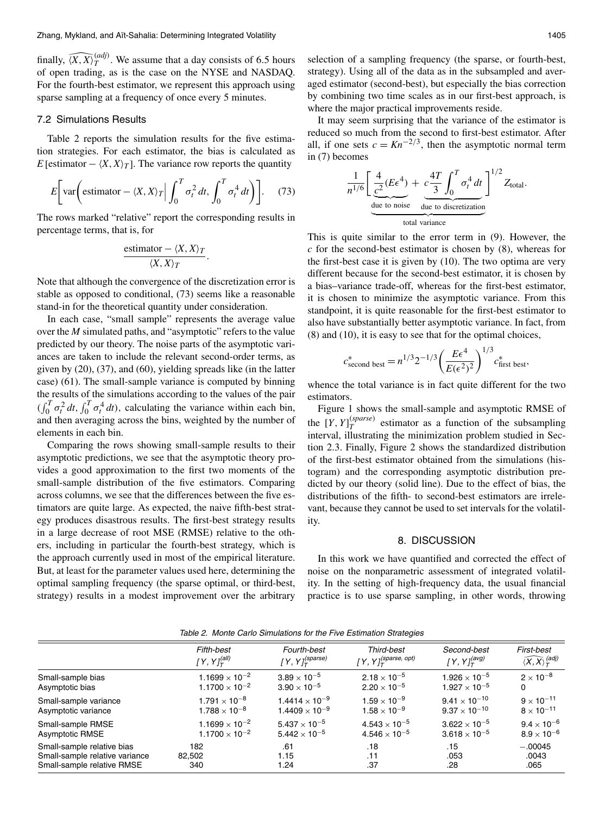finally,  $\widehat{\langle X, X \rangle}_T^{(adj)}$ . We assume that a day consists of 6.5 hours of open trading, as is the case on the NYSE and NASDAQ. For the fourth-best estimator, we represent this approach using sparse sampling at a frequency of once every 5 minutes.

# 7.2 Simulations Results

Table 2 reports the simulation results for the five estimation strategies. For each estimator, the bias is calculated as E [estimator  $-\langle X, X \rangle_T$ ]. The variance row reports the quantity

$$
E\bigg[\text{var}\bigg(\text{estimator} - \langle X, X \rangle_T \bigg| \int_0^T \sigma_t^2 dt, \int_0^T \sigma_t^4 dt \bigg)\bigg].\tag{73}
$$

The rows marked "relative" report the corresponding results in percentage terms, that is, for

estimator 
$$
-\langle X, X \rangle_T
$$
  
 $\langle X, X \rangle_T$ 

Note that although the convergence of the discretization error is stable as opposed to conditional, (73) seems like a reasonable stand-in for the theoretical quantity under consideration.

In each case, "small sample" represents the average value over the  $M$  simulated paths, and "asymptotic" refers to the value predicted by our theory. The noise parts of the asymptotic variances are taken to include the relevant second-order terms, as given by  $(20)$ ,  $(37)$ , and  $(60)$ , yielding spreads like (in the latter case) (61). The small-sample variance is computed by binning the results of the simulations according to the values of the pair  $(\int_0^T \sigma_t^2 dt, \int_0^T \sigma_t^4 dt)$ , calculating the variance within each bin, and then averaging across the bins, weighted by the number of elements in each bin.

Comparing the rows showing small-sample results to their asymptotic predictions, we see that the asymptotic theory provides a good approximation to the first two moments of the small-sample distribution of the five estimators. Comparing across columns, we see that the differences between the five estimators are quite large. As expected, the naive fifth-best strategy produces disastrous results. The first-best strategy results in a large decrease of root MSE (RMSE) relative to the others, including in particular the fourth-best strategy, which is the approach currently used in most of the empirical literature. But, at least for the parameter values used here, determining the optimal sampling frequency (the sparse optimal, or third-best, strategy) results in a modest improvement over the arbitrary selection of a sampling frequency (the sparse, or fourth-best, strategy). Using all of the data as in the subsampled and averaged estimator (second-best), but especially the bias correction by combining two time scales as in our first-best approach, is where the major practical improvements reside.

It may seem surprising that the variance of the estimator is reduced so much from the second to first-best estimator. After all, if one sets  $c = Kn^{-2/3}$ , then the asymptotic normal term in  $(7)$  becomes

$$
\frac{1}{n^{1/6}} \left[ \underbrace{\frac{4}{c^2} (E\epsilon^4)}_{\text{due to noise}} + \underbrace{c\frac{4T}{3} \int_0^T \sigma_t^4 dt}_{\text{due to discretization}} \right]^{1/2} Z_{\text{total}}.
$$

This is quite similar to the error term in (9). However, the  $c$  for the second-best estimator is chosen by  $(8)$ , whereas for the first-best case it is given by  $(10)$ . The two optima are very different because for the second-best estimator, it is chosen by a bias-variance trade-off, whereas for the first-best estimator. it is chosen to minimize the asymptotic variance. From this standpoint, it is quite reasonable for the first-best estimator to also have substantially better asymptotic variance. In fact, from  $(8)$  and  $(10)$ , it is easy to see that for the optimal choices,

$$
c_{\text{second best}}^* = n^{1/3} 2^{-1/3} \left( \frac{E\epsilon^4}{E(\epsilon^2)^2} \right)^{1/3} c_{\text{first best}}^*
$$

whence the total variance is in fact quite different for the two estimators.

Figure 1 shows the small-sample and asymptotic RMSE of the  $[Y, Y]_{T}^{(sparse)}$  estimator as a function of the subsampling interval, illustrating the minimization problem studied in Section 2.3. Finally, Figure 2 shows the standardized distribution of the first-best estimator obtained from the simulations (histogram) and the corresponding asymptotic distribution predicted by our theory (solid line). Due to the effect of bias, the distributions of the fifth-to second-best estimators are irrelevant, because they cannot be used to set intervals for the volatility.

#### 8. DISCUSSION

In this work we have quantified and corrected the effect of noise on the nonparametric assessment of integrated volatility. In the setting of high-frequency data, the usual financial practice is to use sparse sampling, in other words, throwing

|                                | Fifth-best                 | Fourth-best                          | Third-best                                      | Second-best               | First-best                                     |
|--------------------------------|----------------------------|--------------------------------------|-------------------------------------------------|---------------------------|------------------------------------------------|
|                                | [Y, Y] $_T^{\text{(all)}}$ | [ Y, Y] $_{{\cal T}}^{\rm (sparse)}$ | [ $Y$ , $Y$ ] $_T^{\left( sparse,\ opt\right)}$ | [ Y , Y] $_T^{\rm (avg)}$ | $\langle \widehat{X,X} \rangle^{(adj)}_{\tau}$ |
| Small-sample bias              | $1.1699 \times 10^{-2}$    | $3.89 \times 10^{-5}$                | $2.18 \times 10^{-5}$                           | $1.926 \times 10^{-5}$    | $2 \times 10^{-8}$                             |
| Asymptotic bias                | $1.1700 \times 10^{-2}$    | $3.90 \times 10^{-5}$                | $2.20 \times 10^{-5}$                           | $1.927 \times 10^{-5}$    | 0                                              |
| Small-sample variance          | $1.791 \times 10^{-8}$     | $1.4414\times10^{-9}$                | $1.59 \times 10^{-9}$                           | $9.41 \times 10^{-10}$    | $9 \times 10^{-11}$                            |
| Asymptotic variance            | $1.788 \times 10^{-8}$     | $1.4409\times10^{-9}$                | $1.58 \times 10^{-9}$                           | $9.37 \times 10^{-10}$    | $8 \times 10^{-11}$                            |
| Small-sample RMSE              | $1.1699 \times 10^{-2}$    | $5.437\times10^{-5}$                 | $4.543 \times 10^{-5}$                          | $3.622 \times 10^{-5}$    | $9.4 \times 10^{-6}$                           |
| Asymptotic RMSE                | $1.1700 \times 10^{-2}$    | $5.442 \times 10^{-5}$               | $4.546 \times 10^{-5}$                          | $3.618 \times 10^{-5}$    | $8.9 \times 10^{-6}$                           |
| Small-sample relative bias     | 182                        | .61                                  | .18                                             | .15                       | $-.00045$                                      |
| Small-sample relative variance | 82,502                     | 1.15                                 | .11                                             | .053                      | .0043                                          |
| Small-sample relative RMSE     | 340                        | 1.24                                 | .37                                             | .28                       | .065                                           |

Table 2. Monte Carlo Simulations for the Five Estimation Strategies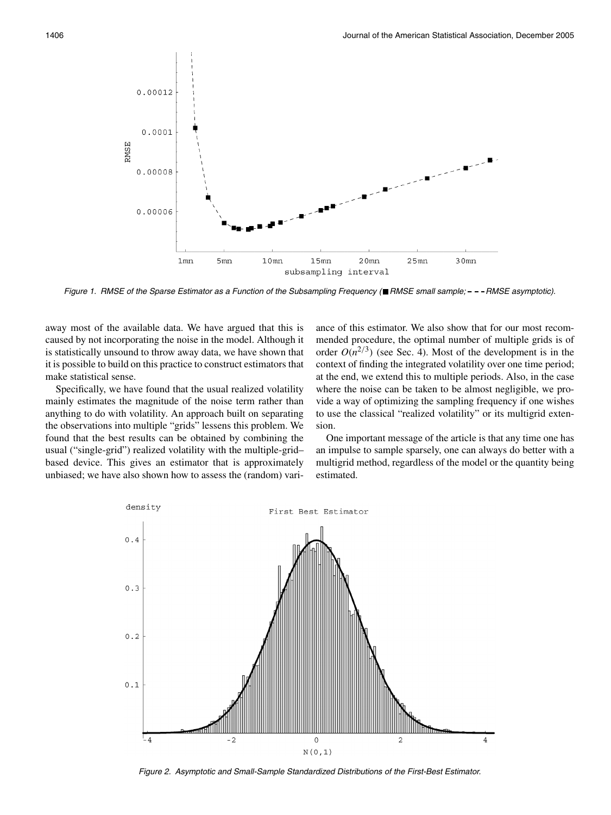

Figure 1. RMSE of the Sparse Estimator as a Function of the Subsampling Frequency (■RMSE small sample: - --RMSE asymptotic).

away most of the available data. We have argued that this is caused by not incorporating the noise in the model. Although it is statistically unsound to throw away data, we have shown that it is possible to build on this practice to construct estimators that make statistical sense.

Specifically, we have found that the usual realized volatility mainly estimates the magnitude of the noise term rather than anything to do with volatility. An approach built on separating the observations into multiple "grids" lessens this problem. We found that the best results can be obtained by combining the usual ("single-grid") realized volatility with the multiple-gridbased device. This gives an estimator that is approximately unbiased; we have also shown how to assess the (random) variance of this estimator. We also show that for our most recommended procedure, the optimal number of multiple grids is of order  $O(n^{2/3})$  (see Sec. 4). Most of the development is in the context of finding the integrated volatility over one time period; at the end, we extend this to multiple periods. Also, in the case where the noise can be taken to be almost negligible, we provide a way of optimizing the sampling frequency if one wishes to use the classical "realized volatility" or its multigrid extension.

One important message of the article is that any time one has an impulse to sample sparsely, one can always do better with a multigrid method, regardless of the model or the quantity being estimated.



Figure 2. Asymptotic and Small-Sample Standardized Distributions of the First-Best Estimator.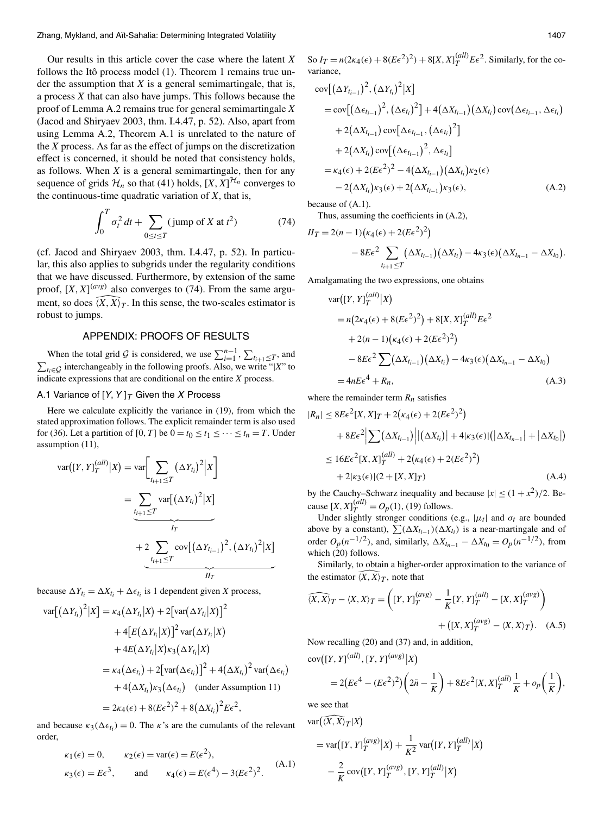Our results in this article cover the case where the latent  $X$ follows the Itô process model (1). Theorem 1 remains true under the assumption that  $X$  is a general semimartingale, that is, a process X that can also have jumps. This follows because the proof of Lemma A.2 remains true for general semimartingale  $X$ (Jacod and Shiryaev 2003, thm. I.4.47, p. 52). Also, apart from using Lemma A.2, Theorem A.1 is unrelated to the nature of the  $X$  process. As far as the effect of jumps on the discretization effect is concerned, it should be noted that consistency holds, as follows. When  $X$  is a general semimartingale, then for any sequence of grids  $\mathcal{H}_n$  so that (41) holds,  $[X, X]^{\mathcal{H}_n}$  converges to the continuous-time quadratic variation of  $X$ , that is,

$$
\int_0^T \sigma_t^2 dt + \sum_{0 \le t \le T} (\text{jump of } X \text{ at } t^2)
$$
 (74)

(cf. Jacod and Shiryaev 2003, thm. I.4.47, p. 52). In particular, this also applies to subgrids under the regularity conditions that we have discussed. Furthermore, by extension of the same proof,  $[X, X]^{(avg)}$  also converges to (74). From the same argument, so does  $(X, X)$ . In this sense, the two-scales estimator is robust to jumps.

# **APPENDIX: PROOFS OF RESULTS**

When the total grid G is considered, we use  $\sum_{i=1}^{n-1}$ ,  $\sum_{t_{i+1} \leq T}$ , and  $\sum_{t_i \in G}$  interchangeably in the following proofs. Also, we write "|X" to indicate expressions that are conditional on the entire  $X$  process.

# A.1 Variance of  $[Y, Y]_T$  Given the X Process

Here we calculate explicitly the variance in (19), from which the stated approximation follows. The explicit remainder term is also used for (36). Let a partition of [0, T] be  $0 = t_0 \le t_1 \le \cdots \le t_n = T$ . Under assumption (11),

$$
var([Y, Y]_T^{(all)} | X) = var \left[ \sum_{t_{i+1} \le T} (\Delta Y_{t_i})^2 | X \right]
$$
  
= 
$$
\underbrace{\sum_{t_{i+1} \le T} var[(\Delta Y_{t_i})^2 | X]}_{I_T}
$$
  
+ 
$$
2 \underbrace{\sum_{t_{i+1} \le T} cov[(\Delta Y_{t_{i-1}})^2, (\Delta Y_{t_i})^2 | X]}_{II_T}
$$

because  $\Delta Y_{t_i} = \Delta X_{t_i} + \Delta \epsilon_{t_i}$  is 1 dependent given X process,

$$
\operatorname{var}[(\Delta Y_{t_i})^2 | X] = \kappa_4 (\Delta Y_{t_i} | X) + 2[\operatorname{var}(\Delta Y_{t_i} | X)]^2 + 4[E(\Delta Y_{t_i} | X)]^2 \operatorname{var}(\Delta Y_{t_i} | X) + 4E(\Delta Y_{t_i} | X)\kappa_3 (\Delta Y_{t_i} | X) = \kappa_4 (\Delta \epsilon_{t_i}) + 2[\operatorname{var}(\Delta \epsilon_{t_i})]^2 + 4(\Delta X_{t_i})^2 \operatorname{var}(\Delta \epsilon_{t_i}) + 4(\Delta X_{t_i})\kappa_3 (\Delta \epsilon_{t_i}) \quad \text{(under Assumption 11)} = 2\kappa_4(\epsilon) + 8(E\epsilon^2)^2 + 8(\Delta X_{t_i})^2 E\epsilon^2,
$$

and because  $\kappa_3(\Delta \epsilon_{t_i}) = 0$ . The  $\kappa$ 's are the cumulants of the relevant order,

$$
\kappa_1(\epsilon) = 0,
$$
  $\kappa_2(\epsilon) = \text{var}(\epsilon) = E(\epsilon^2),$   
\n $\kappa_3(\epsilon) = E\epsilon^3,$  and  $\kappa_4(\epsilon) = E(\epsilon^4) - 3(E\epsilon^2)^2.$  (A.1)

So  $I_T = n(2\kappa_4(\epsilon) + 8(E\epsilon^2)^2) + 8[X,X]_T^{(all)}E\epsilon^2$ . Similarly, for the covariance.

$$
\begin{split}\n&\text{cov}\big[\big(\Delta Y_{t_{i-1}}\big)^2, \big(\Delta Y_{t_i}\big)^2|X\big] \\
&=\text{cov}\big[\big(\Delta\epsilon_{t_{i-1}}\big)^2, \big(\Delta\epsilon_{t_i}\big)^2\big]+4\big(\Delta X_{t_{i-1}}\big)\big(\Delta X_{t_i}\big)\text{cov}\big(\Delta\epsilon_{t_{i-1}}, \Delta\epsilon_{t_i}\big) \\
&+2\big(\Delta X_{t_{i-1}}\big)\text{cov}\big[\Delta\epsilon_{t_{i-1}}, \big(\Delta\epsilon_{t_i}\big)^2\big] \\
&+2\big(\Delta X_{t_i}\big)\text{cov}\big[\big(\Delta\epsilon_{t_{i-1}}\big)^2, \Delta\epsilon_{t_i}\big] \\
&=\kappa_4(\epsilon)+2(E\epsilon^2)^2-4\big(\Delta X_{t_{i-1}}\big)\big(\Delta X_{t_i}\big)\kappa_2(\epsilon) \\
&-2\big(\Delta X_{t_i}\big)\kappa_3(\epsilon)+2\big(\Delta X_{t_{i-1}}\big)\kappa_3(\epsilon),\n\end{split} \tag{A.2}
$$

because of  $(A.1)$ .

Thus, assuming the coefficients in (A.2),

$$
II_T = 2(n-1)\left(\kappa_4(\epsilon) + 2(E\epsilon^2)^2\right)
$$
  
-  $8E\epsilon^2 \sum_{t_{i+1}\leq T} \left(\Delta X_{t_{i-1}}\right)\left(\Delta X_{t_i}\right) - 4\kappa_3(\epsilon)\left(\Delta X_{t_{n-1}} - \Delta X_{t_0}\right).$ 

Amalgamating the two expressions, one obtains

$$
\begin{split} \text{var}([Y, Y]_{T}^{(all)} | X) \\ &= n(2\kappa_{4}(\epsilon) + 8(E\epsilon^{2})^{2}) + 8[X, X]_{T}^{(all)} E\epsilon^{2} \\ &+ 2(n-1)(\kappa_{4}(\epsilon) + 2(E\epsilon^{2})^{2}) \\ &- 8E\epsilon^{2} \sum (\Delta X_{t_{i-1}})(\Delta X_{t_{i}}) - 4\kappa_{3}(\epsilon)(\Delta X_{t_{n-1}} - \Delta X_{t_{0}}) \\ &= 4nE\epsilon^{4} + R_{n}, \end{split} \tag{A.3}
$$

where the remainder term  $R_n$  satisfies

$$
R_n| \leq 8E\epsilon^2[X, X]_T + 2(\kappa_4(\epsilon) + 2(E\epsilon^2)^2)
$$
  
+  $8E\epsilon^2 \Big| \sum (\Delta X_{t_{i-1}}) \Big| |(\Delta X_{t_i})| + 4|\kappa_3(\epsilon)| (|\Delta X_{t_{n-1}}| + |\Delta X_{t_0}|)$   
 $\leq 16E\epsilon^2[X, X]_T^{(all)} + 2(\kappa_4(\epsilon) + 2(E\epsilon^2)^2)$   
+  $2|\kappa_3(\epsilon)|(2 + [X, X]_T)$  (A.4)

by the Cauchy–Schwarz inequality and because  $|x| \le (1 + x^2)/2$ . Because  $[X, X]_T^{(all)} = O_p(1)$ , (19) follows.

Under slightly stronger conditions (e.g.,  $|\mu_t|$  and  $\sigma_t$  are bounded above by a constant),  $\sum (\Delta X_{t_{i-1}})(\Delta X_{t_i})$  is a near-martingale and of order  $O_p(n^{-1/2})$ , and, similarly,  $\Delta X_{t_{n-1}} - \Delta X_{t_0} = O_p(n^{-1/2})$ , from which (20) follows.

Similarly, to obtain a higher-order approximation to the variance of the estimator  $\overline{(X,X)}_T$ , note that

$$
\widehat{\langle X, X \rangle}_T - \langle X, X \rangle_T = \left( [Y, Y]_T^{(avg)} - \frac{1}{K} [Y, Y]_T^{(all)} - [X, X]_T^{(avg)} \right)
$$

$$
+ \left( [X, X]_T^{(avg)} - \langle X, X \rangle_T \right). \quad (A.5)
$$

Now recalling (20) and (37) and, in addition,

 $cov([Y, Y]^{(all)}, [Y, Y]^{(avg)}|X)$ 

$$
=2(E\epsilon^4-(E\epsilon^2)^2)\left(2\bar{n}-\frac{1}{K}\right)+8E\epsilon^2[X,X]_T^{(all)}\frac{1}{K}+o_p\left(\frac{1}{K}\right)
$$

we see that

 $\mathbf{v}$ 

$$
ar(\overline{X}, \overline{X})_T | X)
$$
  
=  $var([Y, Y]_T^{(avg)} | X) + \frac{1}{K^2} var([Y, Y]_T^{(all)} | X)$   

$$
- \frac{2}{K} cov([Y, Y]_T^{(avg)}, [Y, Y]_T^{(all)} | X)
$$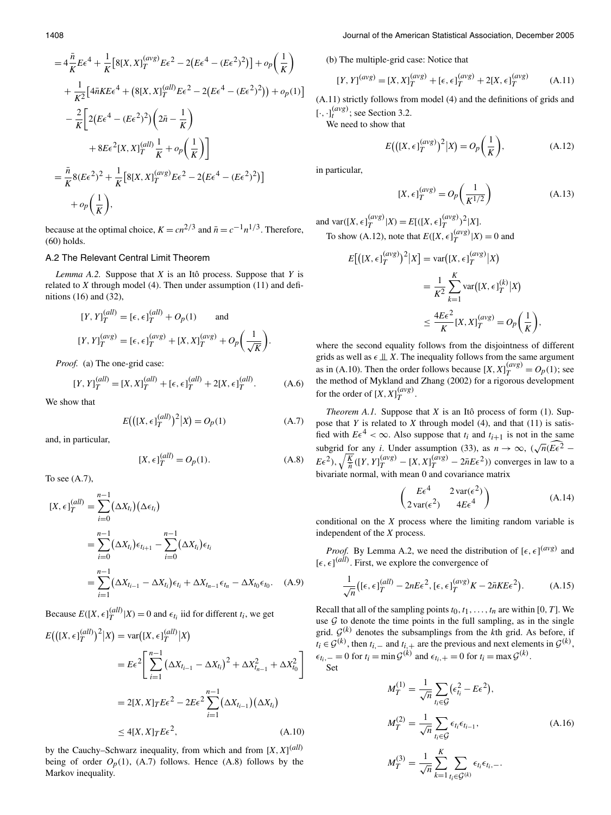(b) The multiple-grid case: Notice that

$$
[Y, Y]^{(avg)} = [X, X]_T^{(avg)} + [\epsilon, \epsilon]_T^{(avg)} + 2[X, \epsilon]_T^{(avg)}
$$
(A.11)

(A.11) strictly follows from model (4) and the definitions of grids and  $[\cdot, \cdot]^{(avg)}$ ; see Section 3.2.

We need to show that

$$
E\big(\big([X,\epsilon]_T^{(\text{avg})}\big)^2|X) = O_p\bigg(\frac{1}{K}\bigg),\tag{A.12}
$$

in particular,

 $(1)$ 

$$
[X, \epsilon]_T^{(avg)} = O_p\left(\frac{1}{K^{1/2}}\right) \tag{A.13}
$$

and var( $[X, \epsilon]_T^{(avg)}|X) = E[(X, \epsilon]_T^{(avg)})^2|X]$ . To show (A.12), note that  $E([X, \epsilon]_T^{(avg)}|X) = 0$  and

$$
E[([X, \epsilon]_T^{(avg)})^2 | X] = \text{var}([X, \epsilon]_T^{(avg)} | X)
$$
  

$$
= \frac{1}{K^2} \sum_{k=1}^K \text{var}([X, \epsilon]_T^{(k)} | X)
$$
  

$$
\leq \frac{4E\epsilon^2}{K} [X, X]_T^{(avg)} = O_p\left(\frac{1}{K}\right)
$$

where the second equality follows from the disjointness of different grids as well as  $\epsilon \perp x$ . The inequality follows from the same argument as in (A.10). Then the order follows because  $[X, X]_T^{(avg)} = O_p(1)$ ; see the method of Mykland and Zhang (2002) for a rigorous development for the order of  $[X, X]_{T}^{(avg)}$ .

*Theorem A.1.* Suppose that  $X$  is an Itô process of form (1). Suppose that  $Y$  is related to  $X$  through model (4), and that (11) is satisfied with  $E\epsilon^4 < \infty$ . Also suppose that  $t_i$  and  $t_{i+1}$  is not in the same subgrid for any *i*. Under assumption (33), as  $n \to \infty$ ,  $(\sqrt{n}(\widehat{E\epsilon^2} E\epsilon^2$ ),  $\sqrt{\frac{K}{n}}([Y, Y]_T^{(avg)} - [X, X]_T^{(avg)} - 2\bar{n}E\epsilon^2)$ ) converges in law to a bivariate normal, with mean 0 and covariance matrix

$$
\begin{pmatrix} E\epsilon^4 & 2\operatorname{var}(\epsilon^2) \\ 2\operatorname{var}(\epsilon^2) & 4E\epsilon^4 \end{pmatrix}
$$
 (A.14)

conditional on the  $X$  process where the limiting random variable is independent of the  $X$  process.

*Proof.* By Lemma A.2, we need the distribution of  $[\epsilon, \epsilon]^{(avg)}$  and  $[\epsilon, \epsilon]^{(all)}$ . First, we explore the convergence of

$$
\frac{1}{\sqrt{n}}\big([\epsilon,\epsilon]_T^{(all)} - 2nE\epsilon^2, [\epsilon,\epsilon]_T^{(avg)}K - 2\bar{n}KE\epsilon^2\big). \tag{A.15}
$$

Recall that all of the sampling points  $t_0, t_1, \ldots, t_n$  are within [0, T]. We use  $G$  to denote the time points in the full sampling, as in the single grid.  $\mathcal{G}^{(k)}$  denotes the subsamplings from the kth grid. As before, if  $t_i \in \mathcal{G}^{(k)}$ , then  $t_{i,-}$  and  $t_{i,+}$  are the previous and next elements in  $\mathcal{G}^{(k)}$ ,  $\epsilon_{t_i,-} = 0$  for  $t_i = \min \mathcal{G}^{(k)}$  and  $\epsilon_{t_i,+} = 0$  for  $t_i = \max \mathcal{G}^{(k)}$ .

$$
M_T^{(1)} = \frac{1}{\sqrt{n}} \sum_{t_i \in \mathcal{G}} (\epsilon_{t_i}^2 - E\epsilon^2),
$$
  
\n
$$
M_T^{(2)} = \frac{1}{\sqrt{n}} \sum_{t_i \in \mathcal{G}} \epsilon_{t_i} \epsilon_{t_{i-1}},
$$
  
\n
$$
M_T^{(3)} = \frac{1}{\sqrt{n}} \sum_{k=1}^K \sum_{t_i \in \mathcal{G}^{(k)}} \epsilon_{t_i} \epsilon_{t_i,-}.
$$
\n(A.16)

$$
=4\frac{\bar{n}}{K}E\epsilon^{4}+\frac{1}{K}\Big[8[X,X]_{T}^{(avg)}E\epsilon^{2}-2(E\epsilon^{4}-(E\epsilon^{2})^{2})\Big]+o_{p}\Big(\frac{1}{K}\Big) +\frac{1}{K^{2}}\Big[4\bar{n}KE\epsilon^{4}+(8[X,X]_{T}^{(all)}E\epsilon^{2}-2(E\epsilon^{4}-(E\epsilon^{2})^{2}))+o_{p}(1)\Big] -\frac{2}{K}\Big[2(E\epsilon^{4}-(E\epsilon^{2})^{2})\Big(2\bar{n}-\frac{1}{K}\Big) +8E\epsilon^{2}[X,X]_{T}^{(all)}\frac{1}{K}+o_{p}\Big(\frac{1}{K}\Big)\Big] =\frac{\bar{n}}{K}8(E\epsilon^{2})^{2}+\frac{1}{K}\Big[8[X,X]_{T}^{(avg)}E\epsilon^{2}-2(E\epsilon^{4}-(E\epsilon^{2})^{2})\Big] +o_{p}\Big(\frac{1}{K}\Big),
$$

 $(\omega a)$  2

because at the optimal choice,  $K = cn^{2/3}$  and  $\bar{n} = c^{-1}n^{1/3}$ . Therefore,  $(60)$  holds.

## A.2 The Relevant Central Limit Theorem

 $1_{-}$ 

*Lemma A.2.* Suppose that  $X$  is an Itô process. Suppose that  $Y$  is related to  $X$  through model (4). Then under assumption (11) and definitions  $(16)$  and  $(32)$ ,

$$
[Y, Y]_T^{(all)} = [\epsilon, \epsilon]_T^{(all)} + O_p(1) \quad \text{and}
$$
  

$$
[Y, Y]_T^{(avg)} = [\epsilon, \epsilon]_T^{(avg)} + [X, X]_T^{(avg)} + O_p\left(\frac{1}{\sqrt{K}}\right).
$$

Proof. (a) The one-grid case:

$$
[Y, Y]_T^{(all)} = [X, X]_T^{(all)} + [\epsilon, \epsilon]_T^{(all)} + 2[X, \epsilon]_T^{(all)}.
$$
 (A.6)

We show that

$$
E(([X, \epsilon]_T^{(all)})^2 | X) = O_p(1)
$$
 (A.7)

and, in particular,

$$
[X, \epsilon]_T^{(all)} = O_p(1). \tag{A.8}
$$

To see  $(A.7)$ .

$$
[X, \epsilon]_T^{(all)} = \sum_{i=0}^{n-1} (\Delta X_{t_i}) (\Delta \epsilon_{t_i})
$$
  
= 
$$
\sum_{i=0}^{n-1} (\Delta X_{t_i}) \epsilon_{t_{i+1}} - \sum_{i=0}^{n-1} (\Delta X_{t_i}) \epsilon_{t_i}
$$
  
= 
$$
\sum_{i=1}^{n-1} (\Delta X_{t_{i-1}} - \Delta X_{t_i}) \epsilon_{t_i} + \Delta X_{t_{n-1}} \epsilon_{t_n} - \Delta X_{t_0} \epsilon_{t_0}.
$$
 (A.9)

Because  $E([X, \epsilon]_T^{(all)}|X) = 0$  and  $\epsilon_{t_i}$  iid for different  $t_i$ , we get  $E((X, \epsilon)_T^{(all)})^2 | X) = \text{var}([X, \epsilon]_T^{(all)} | X)$ 

$$
= E\epsilon^2 \left[ \sum_{i=1}^{n-1} (\Delta X_{t_{i-1}} - \Delta X_{t_i})^2 + \Delta X_{t_{n-1}}^2 + \Delta X_{t_0}^2 \right]
$$
  
= 2[X, X]T E\epsilon^2 - 2E\epsilon^2 \sum\_{i=1}^{n-1} (\Delta X\_{t\_{i-1}})(\Delta X\_{t\_i})  
< 4[X, X]T E\epsilon^2, (A.10)

by the Cauchy–Schwarz inequality, from which and from  $[X, X]^{(all)}$ being of order  $O_p(1)$ , (A.7) follows. Hence (A.8) follows by the Markov inequality.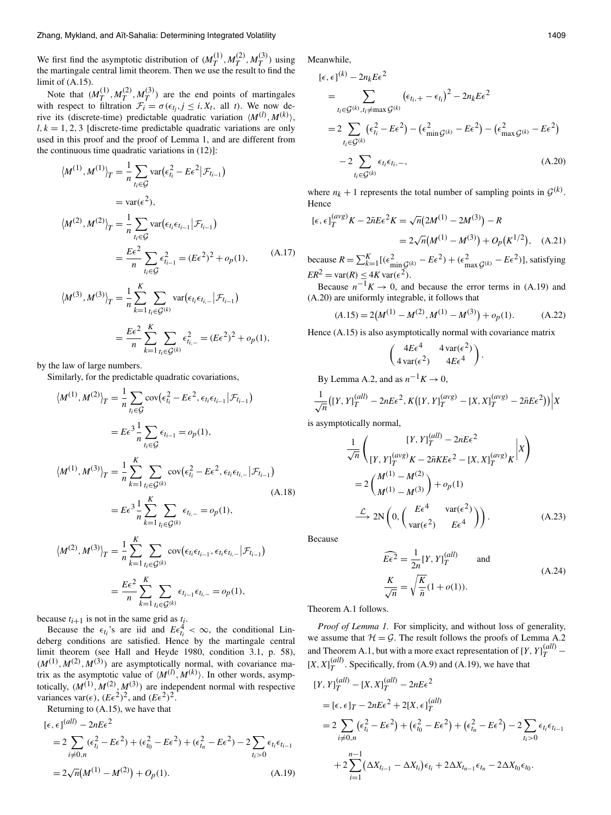We first find the asymptotic distribution of  $(M_T^{(1)}, M_T^{(2)}, M_T^{(3)})$  using<br>the martingale central limit theorem. Then we use the result to find the limit of  $(A.15)$ .

Note that  $(M_T^{(1)}, M_T^{(2)}, M_T^{(3)})$  are the end points of martingales with respect to filtration  $\mathcal{F}_i^1 = \sigma(\epsilon_{t_i}, j \leq i, X_t)$ , all t). We now derive its (discrete-time) predictable quadratic variation  $\langle M^{(l)}, M^{(k)} \rangle$ .  $l, k = 1, 2, 3$  [discrete-time predictable quadratic variations are only used in this proof and the proof of Lemma 1, and are different from the continuous time quadratic variations in  $(12)$ :

$$
\langle M^{(1)}, M^{(1)} \rangle_T = \frac{1}{n} \sum_{t_i \in \mathcal{G}} \text{var}(\epsilon_{t_i}^2 - E\epsilon^2 | \mathcal{F}_{t_{i-1}})
$$
  
\n
$$
= \text{var}(\epsilon^2),
$$
  
\n
$$
\langle M^{(2)}, M^{(2)} \rangle_T = \frac{1}{n} \sum_{t_i \in \mathcal{G}} \text{var}(\epsilon_{t_i} \epsilon_{t_{i-1}} | \mathcal{F}_{t_{i-1}})
$$
  
\n
$$
= \frac{E\epsilon^2}{n} \sum_{t_i \in \mathcal{G}} \epsilon_{t_{i-1}}^2 = (E\epsilon^2)^2 + o_p(1),
$$
  
\n
$$
\langle M^{(3)}, M^{(3)} \rangle_T = \frac{1}{n} \sum_{k=1}^K \sum_{t_i \in \mathcal{G}^{(k)}} \text{var}(\epsilon_{t_i} \epsilon_{t_{i,-}} | \mathcal{F}_{t_{i-1}})
$$
  
\n
$$
= \frac{E\epsilon^2}{n} \sum_{k=1}^K \sum_{t_i \in \mathcal{G}^{(k)}} \epsilon_{t_{i,-}}^2 = (E\epsilon^2)^2 + o_p(1),
$$
 (A.17)

by the law of large numbers.

Similarly, for the predictable quadratic covariations,

$$
\langle M^{(1)}, M^{(2)} \rangle_T = \frac{1}{n} \sum_{t_i \in \mathcal{G}} \text{cov}(\epsilon_{t_i}^2 - E\epsilon^2, \epsilon_{t_i} \epsilon_{t_{i-1}} | \mathcal{F}_{t_{i-1}})
$$
  
\n
$$
= E\epsilon^3 \frac{1}{n} \sum_{t_i \in \mathcal{G}} \epsilon_{t_{i-1}} = o_p(1),
$$
  
\n
$$
\langle M^{(1)}, M^{(3)} \rangle_T = \frac{1}{n} \sum_{k=1}^K \sum_{t_i \in \mathcal{G}^{(k)}} \text{cov}(\epsilon_{t_i}^2 - E\epsilon^2, \epsilon_{t_i} \epsilon_{t_{i,-}} | \mathcal{F}_{t_{i-1}})
$$
  
\n
$$
= E\epsilon^3 \frac{1}{n} \sum_{k=1}^K \sum_{t_i \in \mathcal{G}^{(k)}} \epsilon_{t_{i,-}} = o_p(1),
$$
  
\n
$$
\langle M^{(2)}, M^{(3)} \rangle_T = \frac{1}{n} \sum_{k=1}^K \sum_{t_i \in \mathcal{G}^{(k)}} \text{cov}(\epsilon_{t_i} \epsilon_{t_{i-1}}, \epsilon_{t_i} \epsilon_{t_{i,-}} | \mathcal{F}_{t_{i-1}})
$$
  
\n
$$
= \frac{E\epsilon^2}{n} \sum_{k=1}^K \sum_{t_i \in \mathcal{G}^{(k)}} \epsilon_{t_{i-1}} \epsilon_{t_{i,-}} = o_p(1),
$$

because  $t_{i+1}$  is not in the same grid as  $t_i$ .<br>Because the  $\epsilon_{t_i}$ 's are iid and  $E \epsilon_{t_i}^4 < \infty$ , the conditional Lindeberg conditions are satisfied. Hence by the martingale central limit theorem (see Hall and Heyde 1980, condition 3.1, p. 58),  $(M^{(1)}, M^{(2)}, M^{(3)})$  are asymptotically normal, with covariance matrix as the asymptotic value of  $\langle M^{(l)}, M^{(k)} \rangle$ . In other words, asymptotically,  $(M^{(1)}, M^{(2)}, M^{(3)})$  are independent normal with respective variances var( $\epsilon$ ),  $(E\epsilon^2)^2$ , and  $(E\epsilon^2)^2$ .

Returning to (A.15), we have that

$$
[\epsilon, \epsilon]^{(all)} - 2nE\epsilon^{2}
$$
  
=  $2 \sum_{i \neq 0,n} (\epsilon_{i_{i}}^{2} - E\epsilon^{2}) + (\epsilon_{i_{0}}^{2} - E\epsilon^{2}) + (\epsilon_{i_{n}}^{2} - E\epsilon^{2}) - 2 \sum_{i_{i} > 0} \epsilon_{i_{i}} \epsilon_{i_{i-1}}$   
=  $2\sqrt{n}(M^{(1)} - M^{(2)}) + O_{p}(1).$  (A.19)

Meanwhile.

$$
[\epsilon, \epsilon]^{(k)} - 2n_k E \epsilon^2
$$
  
= 
$$
\sum_{t_i \in \mathcal{G}^{(k)}, t_i \neq \max \mathcal{G}^{(k)}} (\epsilon_{t_i,+} - \epsilon_{t_i})^2 - 2n_k E \epsilon^2
$$
  
= 
$$
2 \sum_{t_i \in \mathcal{G}^{(k)}} (\epsilon_{t_i}^2 - E \epsilon^2) - (\epsilon_{\min \mathcal{G}^{(k)}}^2 - E \epsilon^2) - (\epsilon_{\max \mathcal{G}^{(k)}}^2 - E \epsilon^2)
$$
  
- 
$$
2 \sum_{t_i \in \mathcal{G}^{(k)}} \epsilon_{t_i} \epsilon_{t_i,-},
$$
(A.20)

where  $n_k + 1$  represents the total number of sampling points in  $G^{(k)}$ . Hence

$$
[\epsilon, \epsilon]_T^{(avg)} K - 2\bar{n} E \epsilon^2 K = \sqrt{n} (2M^{(1)} - 2M^{(3)}) - R
$$
  
=  $2\sqrt{n} (M^{(1)} - M^{(3)}) + O_p(K^{1/2}),$  (A.21)

because  $R = \sum_{k=1}^{K} [(\epsilon_{\min \mathcal{G}^{(k)}}^2 - E \epsilon^2) + (\epsilon_{\max \mathcal{G}^{(k)}}^2 - E \epsilon^2)]$ , satisfying  $ER^2 = \text{var}(R) \leq 4K \text{ var}(\epsilon^2).$ 

Because  $n^{-1}K \to 0$ , and because the error terms in (A.19) and (A.20) are uniformly integrable, it follows that

$$
(A.15) = 2(M(1) – M(2), M(1) – M(3)) + op(1).
$$
 (A.22)

Hence (A.15) is also asymptotically normal with covariance matrix

$$
\begin{pmatrix} 4E\epsilon^4 & 4\,\text{var}(\epsilon^2) \\ 4\,\text{var}(\epsilon^2) & 4E\epsilon^4 \end{pmatrix}
$$

By Lemma A.2, and as  $n^{-1}K \to 0$ .

$$
\frac{1}{\sqrt{n}}\big([Y,Y]_T^{(all)} - 2nE\epsilon^2, K\big([Y,Y]_T^{(avg)} - [X,X]_T^{(avg)} - 2\bar{n}E\epsilon^2\big)\big)\bigg|X
$$

is asymptotically normal,

$$
\frac{1}{\sqrt{n}} \left( \frac{[Y, Y]_T^{(all)} - 2nE\epsilon^2}{[Y, Y]_T^{(avg)}K - 2nE\epsilon^2 - [X, X]_T^{(avg)}K} \middle| X \right)
$$
  
=  $2 \left( \frac{M^{(1)} - M^{(2)}}{M^{(1)} - M^{(3)}} \right) + o_p(1)$   
 $\xrightarrow{\mathcal{L}} 2N \left( 0, \left( \frac{E\epsilon^4}{var(\epsilon^2)} - \frac{var(\epsilon^2)}{E\epsilon^4} \right) \right).$  (A.23)

**Because** 

$$
\widehat{E\epsilon^2} = \frac{1}{2n} [Y, Y]_T^{(all)} \quad \text{and}
$$
\n
$$
\frac{K}{\sqrt{n}} = \sqrt{\frac{K}{\bar{n}}}(1 + o(1)). \tag{A.24}
$$

Theorem A.1 follows.

*Proof of Lemma 1.* For simplicity, and without loss of generality, we assume that  $H = G$ . The result follows the proofs of Lemma A.2 and Theorem A.1, but with a more exact representation of  $[Y, Y]_{T}^{(all)}$  –  $[X, X]_T^{(all)}$ . Specifically, from (A.9) and (A.19), we have that

$$
[Y, Y]_T^{(all)} - [X, X]_T^{(all)} - 2nE\epsilon^2
$$
  
=  $[\epsilon, \epsilon]_T - 2nE\epsilon^2 + 2[X, \epsilon]_T^{(all)}$   
=  $2 \sum_{i \neq 0, n} (\epsilon_{t_i}^2 - E\epsilon^2) + (\epsilon_{t_0}^2 - E\epsilon^2) + (\epsilon_{t_n}^2 - E\epsilon^2) - 2 \sum_{t_i > 0} \epsilon_{t_i} \epsilon_{t_{i-1}}$   
+  $2 \sum_{i=1}^{n-1} (\Delta X_{t_{i-1}} - \Delta X_{t_i}) \epsilon_{t_i} + 2\Delta X_{t_{n-1}} \epsilon_{t_n} - 2\Delta X_{t_0} \epsilon_{t_0}.$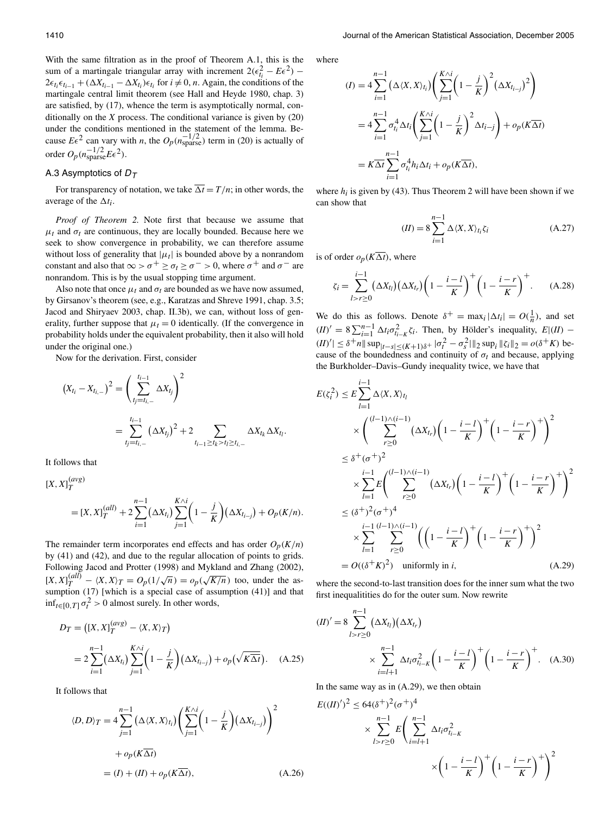With the same filtration as in the proof of Theorem A.1, this is the sum of a martingale triangular array with increment  $2(\epsilon_{ti}^2 - E\epsilon^2)$  –  $2\epsilon_{t_i}\epsilon_{t_{i-1}} + (\Delta X_{t_{i-1}} - \Delta X_{t_i})\epsilon_{t_i}$  for  $i \neq 0$ , *n*. Again, the conditions of the martingale central limit theorem (see Hall and Heyde 1980, chap. 3) are satisfied, by (17), whence the term is asymptotically normal, conditionally on the  $X$  process. The conditional variance is given by  $(20)$ under the conditions mentioned in the statement of the lemma. Be-<br>cause  $E\epsilon^2$  can vary with *n*, the  $O_p(n_{\text{sparse}}^{-1/2})$  term in (20) is actually of order  $O_p(n_{\text{sparse}}^{-1/2}E\epsilon^2)$ .

#### A.3 Asymptotics of  $D_{\tau}$

For transparency of notation, we take  $\overline{\Delta t} = T/n$ ; in other words, the average of the  $\Delta t_i$ .

Proof of Theorem 2. Note first that because we assume that  $\mu_t$  and  $\sigma_t$  are continuous, they are locally bounded. Because here we seek to show convergence in probability, we can therefore assume without loss of generality that  $|\mu_t|$  is bounded above by a nonrandom constant and also that  $\infty > \sigma^+ \ge \sigma_t \ge \sigma^- > 0$ , where  $\sigma^+$  and  $\sigma^-$  are nonrandom. This is by the usual stopping time argument.

Also note that once  $\mu_t$  and  $\sigma_t$  are bounded as we have now assumed, by Girsanov's theorem (see, e.g., Karatzas and Shreve 1991, chap. 3.5; Jacod and Shiryaev 2003, chap. II.3b), we can, without loss of generality, further suppose that  $\mu_t = 0$  identically. (If the convergence in probability holds under the equivalent probability, then it also will hold under the original one.)

Now for the derivation. First, consider

$$
(X_{t_i} - X_{t_{i,-}})^2 = \left(\sum_{t_j=t_{i,-}}^{t_{i-1}} \Delta X_{t_j}\right)^2
$$
  
= 
$$
\sum_{t_j=t_{i,-}}^{t_{i-1}} (\Delta X_{t_j})^2 + 2 \sum_{t_{i-1} \ge t_k > t_l \ge t_{i,-}} \Delta X_{t_k} \Delta X_{t_l}.
$$

It follows that

 $[X, X]_{T}^{(avg)}$ 

$$
= [X, X]_T^{(all)} + 2 \sum_{i=1}^{n-1} (\Delta X_{t_i}) \sum_{j=1}^{K \wedge i} \left( 1 - \frac{j}{K} \right) (\Delta X_{t_{i-j}}) + O_p(K/n)
$$

The remainder term incorporates end effects and has order  $O_p(K/n)$ by (41) and (42), and due to the regular allocation of points to grids. Following Jacod and Protter (1998) and Mykland and Zhang (2002),  $[X, X]_T^{(all)} - \langle X, X \rangle_T = O_p(1/\sqrt{n}) = o_p(\sqrt{K/n})$  too, under the assumption (17) [which is a special case of assumption (41)] and that  $\inf_{t \in [0, T]} \sigma_t^2 > 0$  almost surely. In other words,

$$
D_T = ([X, X]_T^{(avg)} - \langle X, X \rangle_T)
$$
  
=  $2 \sum_{i=1}^{n-1} (\Delta X_{i_i}) \sum_{j=1}^{K \wedge i} \left(1 - \frac{j}{K}\right) (\Delta X_{i_{i-j}}) + o_p(\sqrt{K \Delta t}).$  (A.25)

It follows that

$$
\langle D, D \rangle_T = 4 \sum_{j=1}^{n-1} \left( \Delta \langle X, X \rangle_{t_i} \right) \left( \sum_{j=1}^{K \wedge i} \left( 1 - \frac{j}{K} \right) \left( \Delta X_{t_{i-j}} \right) \right)^2
$$
  
+  $o_p(K \overline{\Delta t})$   
=  $(I) + (II) + o_p(K \overline{\Delta t}),$  (A.26)

where

$$
(I) = 4 \sum_{i=1}^{n-1} (\Delta \langle X, X \rangle_{t_i}) \left( \sum_{j=1}^{K \wedge i} \left( 1 - \frac{j}{K} \right)^2 (\Delta X_{t_{i-j}})^2 \right)
$$
  
= 4  $\sum_{i=1}^{n-1} \sigma_{t_i}^4 \Delta t_i \left( \sum_{j=1}^{K \wedge i} \left( 1 - \frac{j}{K} \right)^2 \Delta t_{i-j} \right) + o_p(K \overline{\Delta t})$   
=  $K \overline{\Delta t} \sum_{i=1}^{n-1} \sigma_{t_i}^4 h_i \Delta t_i + o_p(K \overline{\Delta t}),$ 

where  $h_i$  is given by (43). Thus Theorem 2 will have been shown if we can show that

$$
(II) = 8 \sum_{i=1}^{n-1} \Delta \langle X, X \rangle_{t_i} \zeta_i
$$
\n(A.27)

is of order  $o_p(K\overline{\Delta t})$ , where

$$
\zeta_i = \sum_{l>r\geq 0}^{i-1} (\Delta X_{t_l}) (\Delta X_{t_r}) \left(1 - \frac{i - l}{K}\right)^+ \left(1 - \frac{i - r}{K}\right)^+ . \tag{A.28}
$$

We do this as follows. Denote  $\delta^+ = \max_i |\Delta t_i| = O(\frac{1}{n})$ , and set  $(II)' = 8 \sum_{i=1}^{n-1} \Delta t_i \sigma_{t_i-K}^2 \zeta_i$ . Then, by Hölder's inequality,  $E|(II)$  –  $(|II)'| \leq \delta^+ n ||\sup_{|t-s| \leq (K+1)\delta^+} |\sigma_t^2 - \sigma_s^2||_2 \sup_i ||\zeta_i||_2 = o(\delta^+ K)$  because of the boundedness and continuity of  $\sigma_t$  and because, applying the Burkholder-Davis-Gundy inequality twice, we have that

$$
E(\zeta_i^2) \le E \sum_{l=1}^{i-1} \Delta \langle X, X \rangle_{t_l}
$$
  
\n
$$
\times \left( \sum_{r \ge 0}^{(l-1)\wedge(i-1)} (\Delta X_{t_r}) \left( 1 - \frac{i - l}{K} \right)^+ \left( 1 - \frac{i - r}{K} \right)^+ \right)^2
$$
  
\n
$$
\le \delta^+(\sigma^+)^2
$$
  
\n
$$
\times \sum_{l=1}^{i-1} E \left( \sum_{r \ge 0}^{(l-1)\wedge(i-1)} (\Delta X_{t_r}) \left( 1 - \frac{i - l}{K} \right)^+ \left( 1 - \frac{i - r}{K} \right)^+ \right)^2
$$
  
\n
$$
\le (\delta^+)^2 (\sigma^+)^4
$$
  
\n
$$
\times \sum_{l=1}^{i-1} \sum_{r \ge 0}^{(l-1)\wedge(i-1)} \left( \left( 1 - \frac{i - l}{K} \right)^+ \left( 1 - \frac{i - r}{K} \right)^+ \right)^2
$$
  
\n
$$
= O((\delta^+ K)^2) \text{ uniformly in } i, \qquad (A.29)
$$

where the second-to-last transition does for the inner sum what the two first inequalitities do for the outer sum. Now rewrite

$$
(II)' = 8 \sum_{l>r\geq 0}^{n-1} (\Delta X_{t_l})(\Delta X_{t_r})
$$
  
 
$$
\times \sum_{i=l+1}^{n-1} \Delta t_i \sigma_{t_{i-K}}^2 \left(1 - \frac{i-l}{K}\right)^+ \left(1 - \frac{i-r}{K}\right)^+ . \quad (A.30)
$$

In the same way as in  $(A.29)$ , we then obtain

$$
E((II)')^{2} \le 64(\delta^{+})^{2} (\sigma^{+})^{4}
$$
  
\$\times \sum\_{l>r \ge 0}^{n-1} E\left(\sum\_{i=l+1}^{n-1} \Delta t\_{i} \sigma\_{t\_{i-K}}^{2}\right)\$  
\$\times \left(1 - \frac{i - l}{K}\right)^{+} \left(1 - \frac{i - r}{K}\right)^{+}\right)^{2}\$